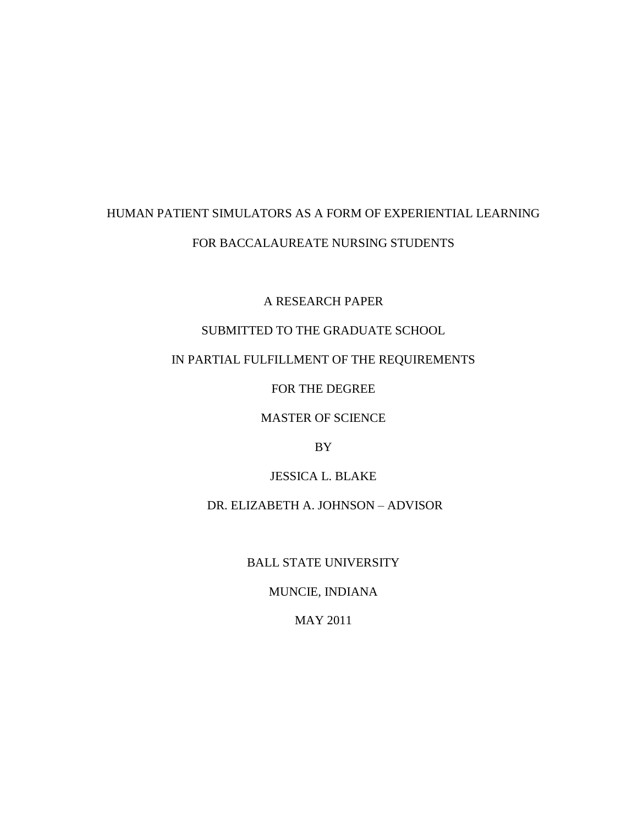# HUMAN PATIENT SIMULATORS AS A FORM OF EXPERIENTIAL LEARNING FOR BACCALAUREATE NURSING STUDENTS

A RESEARCH PAPER

## SUBMITTED TO THE GRADUATE SCHOOL

## IN PARTIAL FULFILLMENT OF THE REQUIREMENTS

FOR THE DEGREE

MASTER OF SCIENCE

BY

JESSICA L. BLAKE

DR. ELIZABETH A. JOHNSON – ADVISOR

BALL STATE UNIVERSITY

MUNCIE, INDIANA

MAY 2011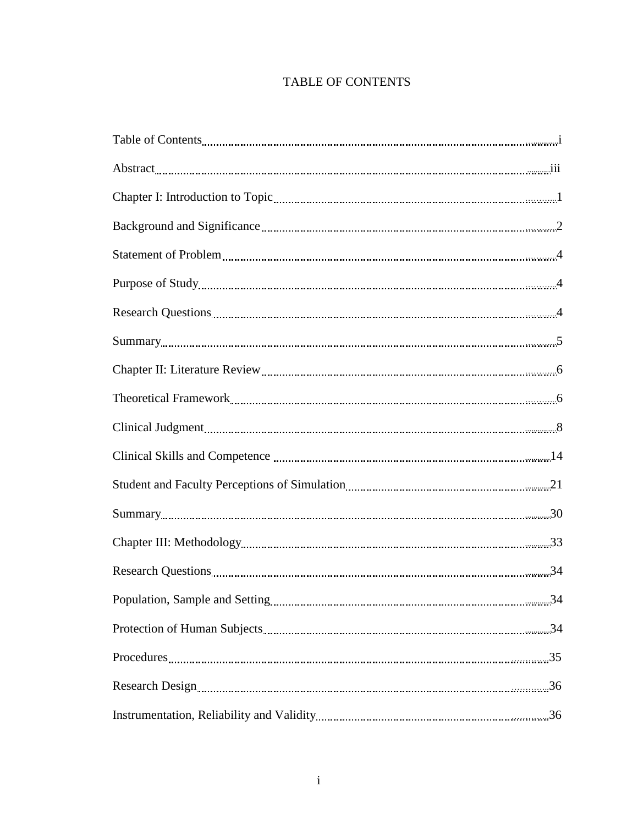## TABLE OF CONTENTS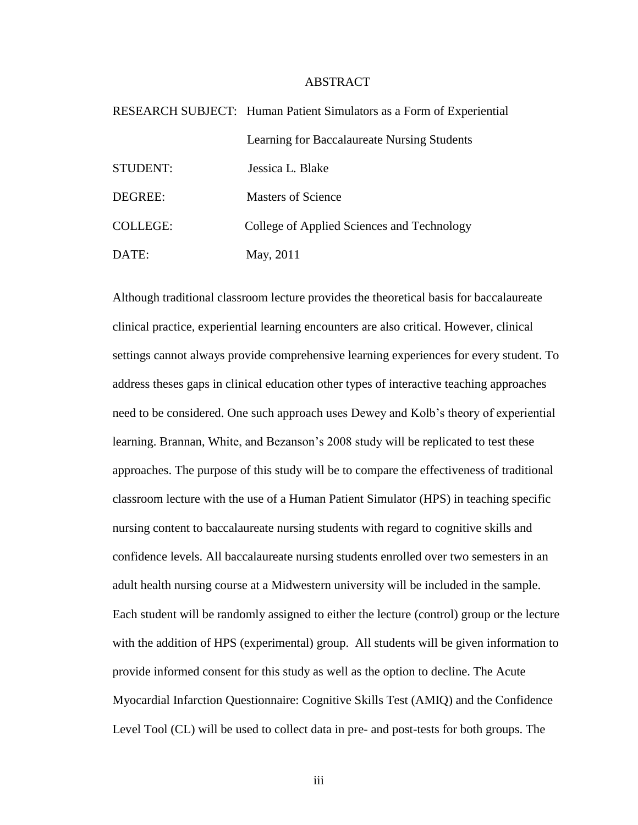## ABSTRACT

|                 | RESEARCH SUBJECT: Human Patient Simulators as a Form of Experiential |
|-----------------|----------------------------------------------------------------------|
|                 | Learning for Baccalaureate Nursing Students                          |
| STUDENT:        | Jessica L. Blake                                                     |
| DEGREE:         | <b>Masters of Science</b>                                            |
| <b>COLLEGE:</b> | College of Applied Sciences and Technology                           |
| DATE:           | May, 2011                                                            |

Although traditional classroom lecture provides the theoretical basis for baccalaureate clinical practice, experiential learning encounters are also critical. However, clinical settings cannot always provide comprehensive learning experiences for every student. To address theses gaps in clinical education other types of interactive teaching approaches need to be considered. One such approach uses Dewey and Kolb's theory of experiential learning. Brannan, White, and Bezanson's 2008 study will be replicated to test these approaches. The purpose of this study will be to compare the effectiveness of traditional classroom lecture with the use of a Human Patient Simulator (HPS) in teaching specific nursing content to baccalaureate nursing students with regard to cognitive skills and confidence levels. All baccalaureate nursing students enrolled over two semesters in an adult health nursing course at a Midwestern university will be included in the sample. Each student will be randomly assigned to either the lecture (control) group or the lecture with the addition of HPS (experimental) group. All students will be given information to provide informed consent for this study as well as the option to decline. The Acute Myocardial Infarction Questionnaire: Cognitive Skills Test (AMIQ) and the Confidence Level Tool (CL) will be used to collect data in pre- and post-tests for both groups. The

iii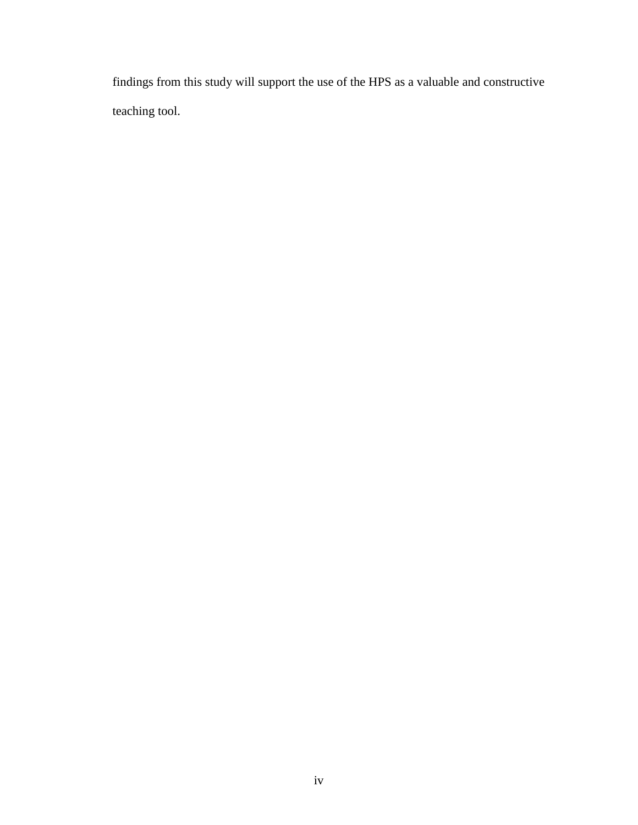findings from this study will support the use of the HPS as a valuable and constructive teaching tool.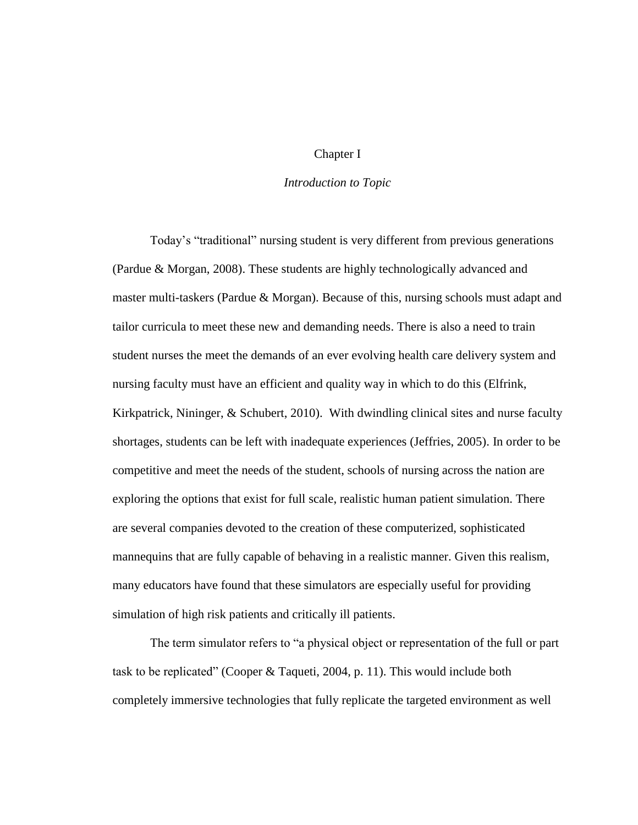### Chapter I

## *Introduction to Topic*

Today's "traditional" nursing student is very different from previous generations (Pardue & Morgan, 2008). These students are highly technologically advanced and master multi-taskers (Pardue & Morgan). Because of this, nursing schools must adapt and tailor curricula to meet these new and demanding needs. There is also a need to train student nurses the meet the demands of an ever evolving health care delivery system and nursing faculty must have an efficient and quality way in which to do this (Elfrink, Kirkpatrick, Nininger, & Schubert, 2010). With dwindling clinical sites and nurse faculty shortages, students can be left with inadequate experiences (Jeffries, 2005). In order to be competitive and meet the needs of the student, schools of nursing across the nation are exploring the options that exist for full scale, realistic human patient simulation. There are several companies devoted to the creation of these computerized, sophisticated mannequins that are fully capable of behaving in a realistic manner. Given this realism, many educators have found that these simulators are especially useful for providing simulation of high risk patients and critically ill patients.

The term simulator refers to "a physical object or representation of the full or part task to be replicated" (Cooper & Taqueti, 2004, p. 11). This would include both completely immersive technologies that fully replicate the targeted environment as well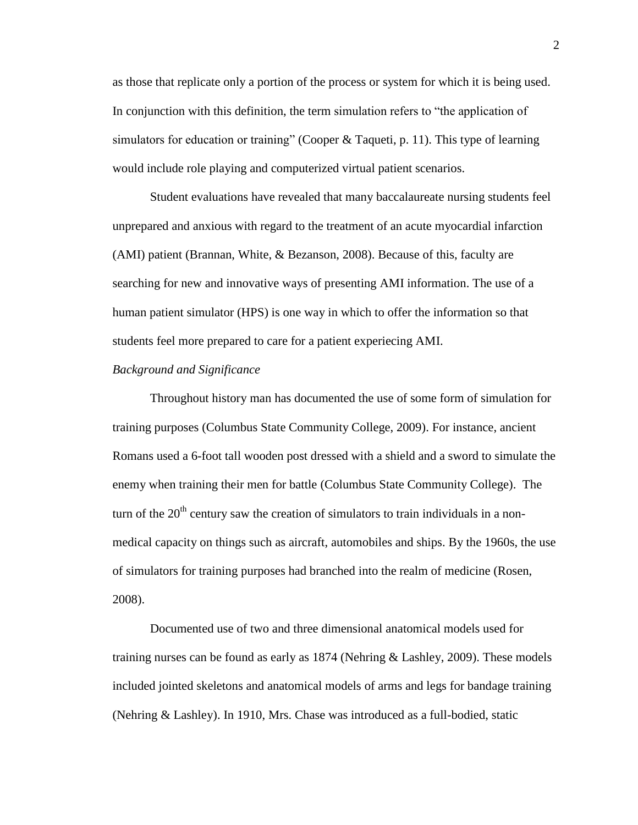as those that replicate only a portion of the process or system for which it is being used. In conjunction with this definition, the term simulation refers to "the application of simulators for education or training" (Cooper & Taqueti, p. 11). This type of learning would include role playing and computerized virtual patient scenarios.

Student evaluations have revealed that many baccalaureate nursing students feel unprepared and anxious with regard to the treatment of an acute myocardial infarction (AMI) patient (Brannan, White, & Bezanson, 2008). Because of this, faculty are searching for new and innovative ways of presenting AMI information. The use of a human patient simulator (HPS) is one way in which to offer the information so that students feel more prepared to care for a patient experiecing AMI.

#### *Background and Significance*

Throughout history man has documented the use of some form of simulation for training purposes (Columbus State Community College, 2009). For instance, ancient Romans used a 6-foot tall wooden post dressed with a shield and a sword to simulate the enemy when training their men for battle (Columbus State Community College). The turn of the  $20<sup>th</sup>$  century saw the creation of simulators to train individuals in a nonmedical capacity on things such as aircraft, automobiles and ships. By the 1960s, the use of simulators for training purposes had branched into the realm of medicine (Rosen, 2008).

Documented use of two and three dimensional anatomical models used for training nurses can be found as early as 1874 (Nehring & Lashley, 2009). These models included jointed skeletons and anatomical models of arms and legs for bandage training (Nehring & Lashley). In 1910, Mrs. Chase was introduced as a full-bodied, static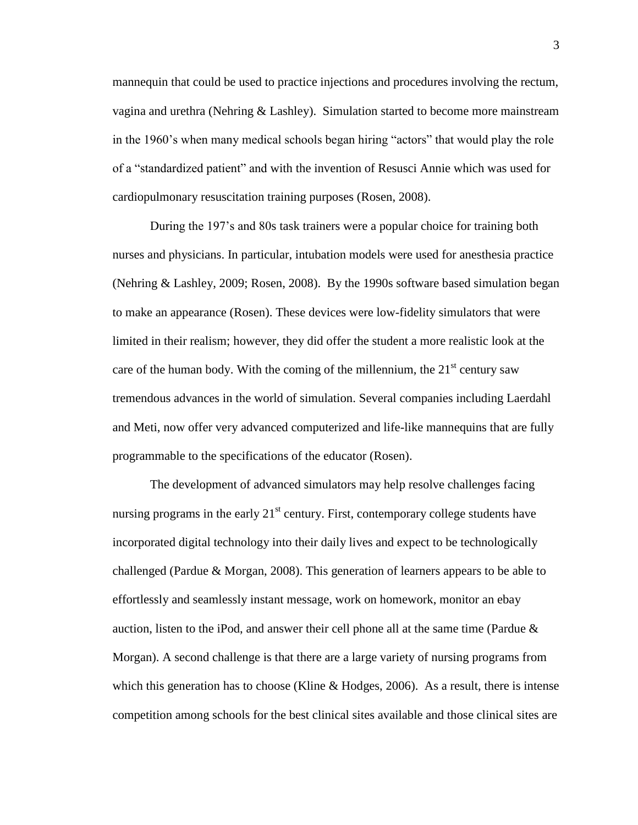mannequin that could be used to practice injections and procedures involving the rectum, vagina and urethra (Nehring & Lashley). Simulation started to become more mainstream in the 1960's when many medical schools began hiring "actors" that would play the role of a "standardized patient" and with the invention of Resusci Annie which was used for cardiopulmonary resuscitation training purposes (Rosen, 2008).

During the 197's and 80s task trainers were a popular choice for training both nurses and physicians. In particular, intubation models were used for anesthesia practice (Nehring & Lashley, 2009; Rosen, 2008). By the 1990s software based simulation began to make an appearance (Rosen). These devices were low-fidelity simulators that were limited in their realism; however, they did offer the student a more realistic look at the care of the human body. With the coming of the millennium, the  $21<sup>st</sup>$  century saw tremendous advances in the world of simulation. Several companies including Laerdahl and Meti, now offer very advanced computerized and life-like mannequins that are fully programmable to the specifications of the educator (Rosen).

The development of advanced simulators may help resolve challenges facing nursing programs in the early  $21<sup>st</sup>$  century. First, contemporary college students have incorporated digital technology into their daily lives and expect to be technologically challenged (Pardue & Morgan, 2008). This generation of learners appears to be able to effortlessly and seamlessly instant message, work on homework, monitor an ebay auction, listen to the iPod, and answer their cell phone all at the same time (Pardue  $\&$ Morgan). A second challenge is that there are a large variety of nursing programs from which this generation has to choose (Kline & Hodges, 2006). As a result, there is intense competition among schools for the best clinical sites available and those clinical sites are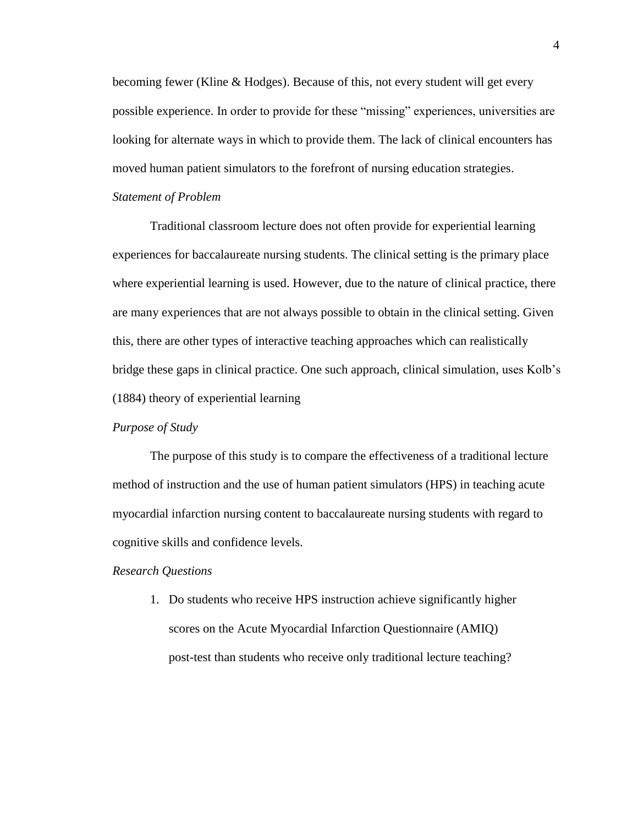becoming fewer (Kline & Hodges). Because of this, not every student will get every possible experience. In order to provide for these "missing" experiences, universities are looking for alternate ways in which to provide them. The lack of clinical encounters has moved human patient simulators to the forefront of nursing education strategies.

## *Statement of Problem*

Traditional classroom lecture does not often provide for experiential learning experiences for baccalaureate nursing students. The clinical setting is the primary place where experiential learning is used. However, due to the nature of clinical practice, there are many experiences that are not always possible to obtain in the clinical setting. Given this, there are other types of interactive teaching approaches which can realistically bridge these gaps in clinical practice. One such approach, clinical simulation, uses Kolb's (1884) theory of experiential learning

## *Purpose of Study*

The purpose of this study is to compare the effectiveness of a traditional lecture method of instruction and the use of human patient simulators (HPS) in teaching acute myocardial infarction nursing content to baccalaureate nursing students with regard to cognitive skills and confidence levels.

#### *Research Questions*

1. Do students who receive HPS instruction achieve significantly higher scores on the Acute Myocardial Infarction Questionnaire (AMIQ) post-test than students who receive only traditional lecture teaching?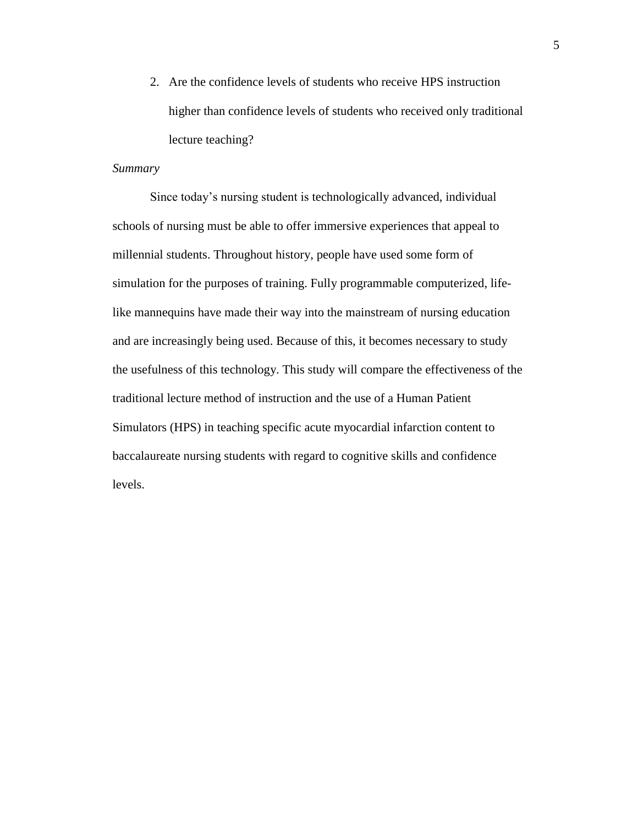2. Are the confidence levels of students who receive HPS instruction higher than confidence levels of students who received only traditional lecture teaching?

## *Summary*

Since today's nursing student is technologically advanced, individual schools of nursing must be able to offer immersive experiences that appeal to millennial students. Throughout history, people have used some form of simulation for the purposes of training. Fully programmable computerized, lifelike mannequins have made their way into the mainstream of nursing education and are increasingly being used. Because of this, it becomes necessary to study the usefulness of this technology. This study will compare the effectiveness of the traditional lecture method of instruction and the use of a Human Patient Simulators (HPS) in teaching specific acute myocardial infarction content to baccalaureate nursing students with regard to cognitive skills and confidence levels.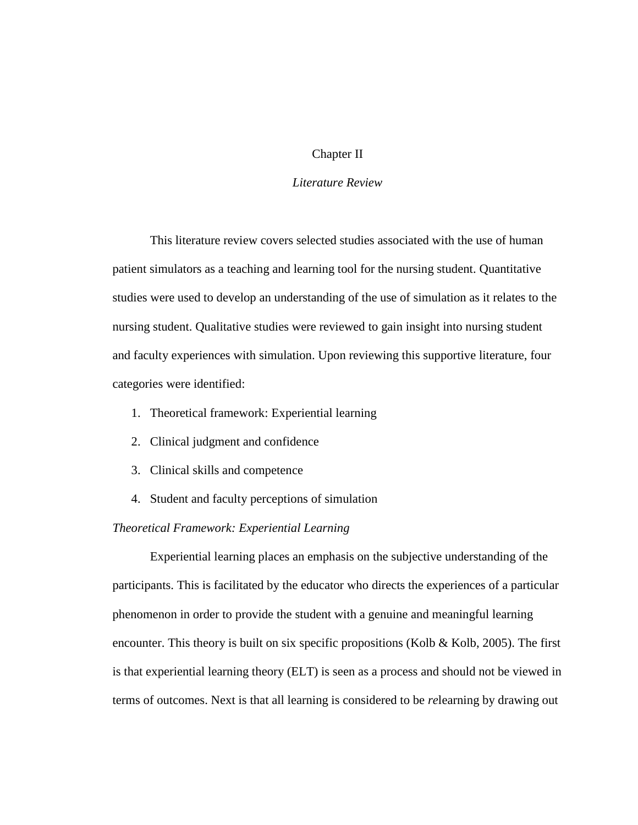## Chapter II

#### *Literature Review*

This literature review covers selected studies associated with the use of human patient simulators as a teaching and learning tool for the nursing student. Quantitative studies were used to develop an understanding of the use of simulation as it relates to the nursing student. Qualitative studies were reviewed to gain insight into nursing student and faculty experiences with simulation. Upon reviewing this supportive literature, four categories were identified:

- 1. Theoretical framework: Experiential learning
- 2. Clinical judgment and confidence
- 3. Clinical skills and competence
- 4. Student and faculty perceptions of simulation

## *Theoretical Framework: Experiential Learning*

Experiential learning places an emphasis on the subjective understanding of the participants. This is facilitated by the educator who directs the experiences of a particular phenomenon in order to provide the student with a genuine and meaningful learning encounter. This theory is built on six specific propositions (Kolb & Kolb, 2005). The first is that experiential learning theory (ELT) is seen as a process and should not be viewed in terms of outcomes. Next is that all learning is considered to be *re*learning by drawing out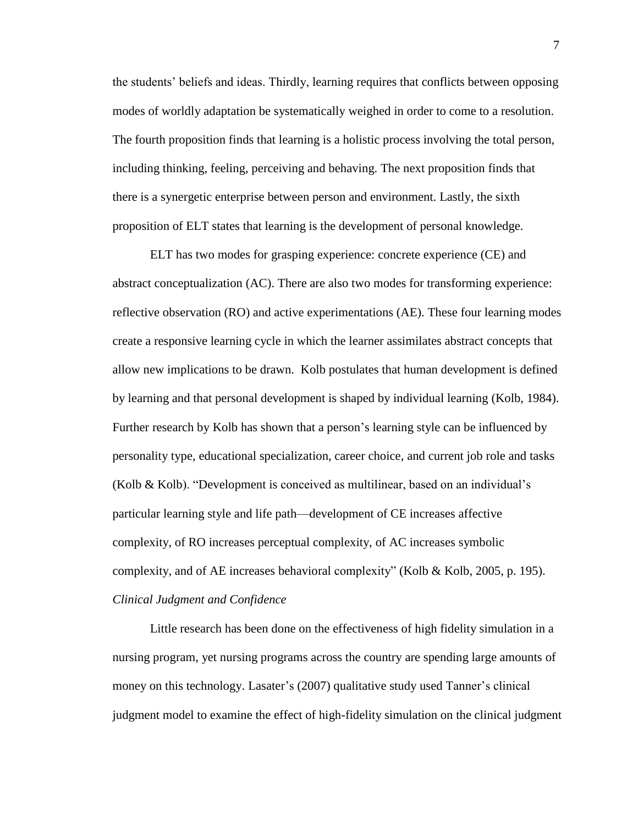the students' beliefs and ideas. Thirdly, learning requires that conflicts between opposing modes of worldly adaptation be systematically weighed in order to come to a resolution. The fourth proposition finds that learning is a holistic process involving the total person, including thinking, feeling, perceiving and behaving. The next proposition finds that there is a synergetic enterprise between person and environment. Lastly, the sixth proposition of ELT states that learning is the development of personal knowledge.

ELT has two modes for grasping experience: concrete experience (CE) and abstract conceptualization (AC). There are also two modes for transforming experience: reflective observation (RO) and active experimentations (AE). These four learning modes create a responsive learning cycle in which the learner assimilates abstract concepts that allow new implications to be drawn. Kolb postulates that human development is defined by learning and that personal development is shaped by individual learning (Kolb, 1984). Further research by Kolb has shown that a person's learning style can be influenced by personality type, educational specialization, career choice, and current job role and tasks (Kolb & Kolb). "Development is conceived as multilinear, based on an individual's particular learning style and life path—development of CE increases affective complexity, of RO increases perceptual complexity, of AC increases symbolic complexity, and of AE increases behavioral complexity" (Kolb & Kolb, 2005, p. 195). *Clinical Judgment and Confidence*

Little research has been done on the effectiveness of high fidelity simulation in a nursing program, yet nursing programs across the country are spending large amounts of money on this technology. Lasater's (2007) qualitative study used Tanner's clinical judgment model to examine the effect of high-fidelity simulation on the clinical judgment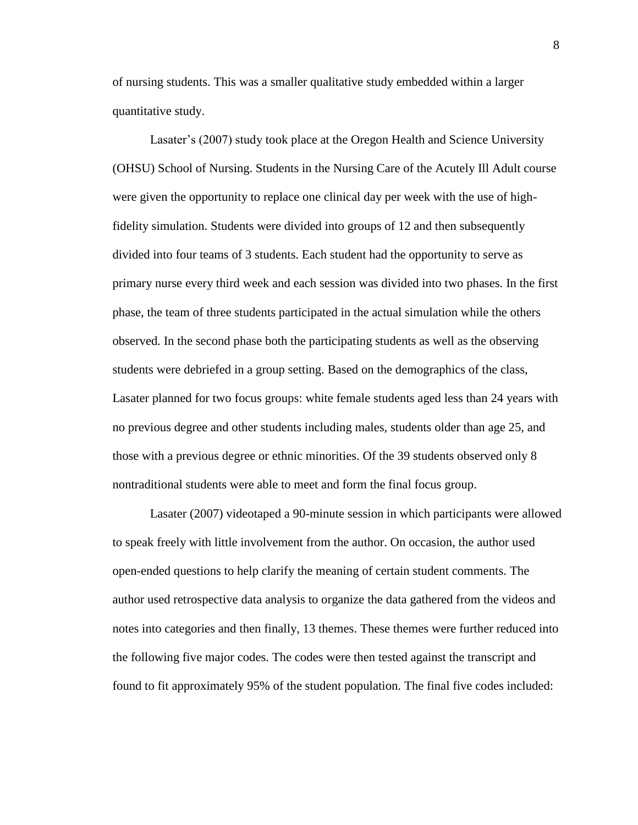of nursing students. This was a smaller qualitative study embedded within a larger quantitative study.

Lasater's (2007) study took place at the Oregon Health and Science University (OHSU) School of Nursing. Students in the Nursing Care of the Acutely Ill Adult course were given the opportunity to replace one clinical day per week with the use of highfidelity simulation. Students were divided into groups of 12 and then subsequently divided into four teams of 3 students. Each student had the opportunity to serve as primary nurse every third week and each session was divided into two phases. In the first phase, the team of three students participated in the actual simulation while the others observed. In the second phase both the participating students as well as the observing students were debriefed in a group setting. Based on the demographics of the class, Lasater planned for two focus groups: white female students aged less than 24 years with no previous degree and other students including males, students older than age 25, and those with a previous degree or ethnic minorities. Of the 39 students observed only 8 nontraditional students were able to meet and form the final focus group.

Lasater (2007) videotaped a 90-minute session in which participants were allowed to speak freely with little involvement from the author. On occasion, the author used open-ended questions to help clarify the meaning of certain student comments. The author used retrospective data analysis to organize the data gathered from the videos and notes into categories and then finally, 13 themes. These themes were further reduced into the following five major codes. The codes were then tested against the transcript and found to fit approximately 95% of the student population. The final five codes included: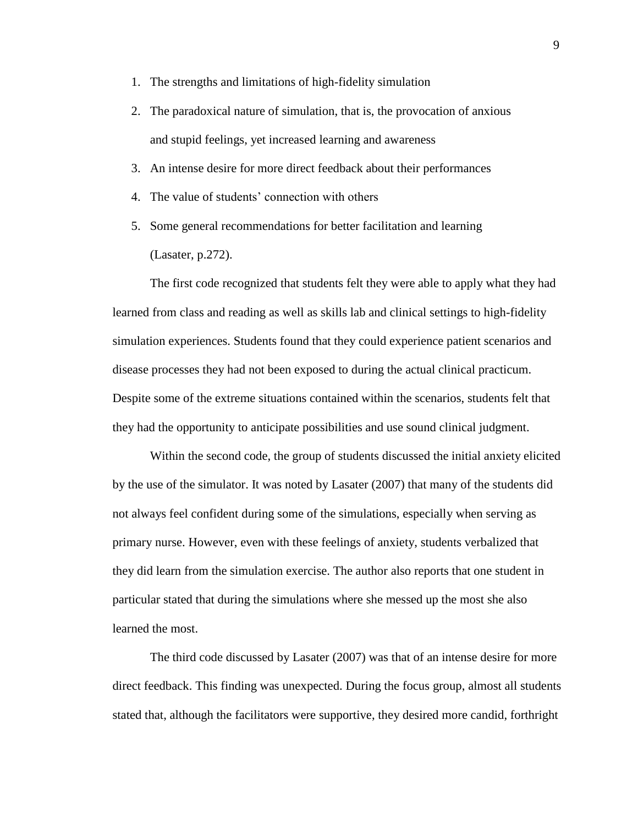- 1. The strengths and limitations of high-fidelity simulation
- 2. The paradoxical nature of simulation, that is, the provocation of anxious and stupid feelings, yet increased learning and awareness
- 3. An intense desire for more direct feedback about their performances
- 4. The value of students' connection with others
- 5. Some general recommendations for better facilitation and learning (Lasater, p.272).

The first code recognized that students felt they were able to apply what they had learned from class and reading as well as skills lab and clinical settings to high-fidelity simulation experiences. Students found that they could experience patient scenarios and disease processes they had not been exposed to during the actual clinical practicum. Despite some of the extreme situations contained within the scenarios, students felt that they had the opportunity to anticipate possibilities and use sound clinical judgment.

Within the second code, the group of students discussed the initial anxiety elicited by the use of the simulator. It was noted by Lasater (2007) that many of the students did not always feel confident during some of the simulations, especially when serving as primary nurse. However, even with these feelings of anxiety, students verbalized that they did learn from the simulation exercise. The author also reports that one student in particular stated that during the simulations where she messed up the most she also learned the most.

The third code discussed by Lasater (2007) was that of an intense desire for more direct feedback. This finding was unexpected. During the focus group, almost all students stated that, although the facilitators were supportive, they desired more candid, forthright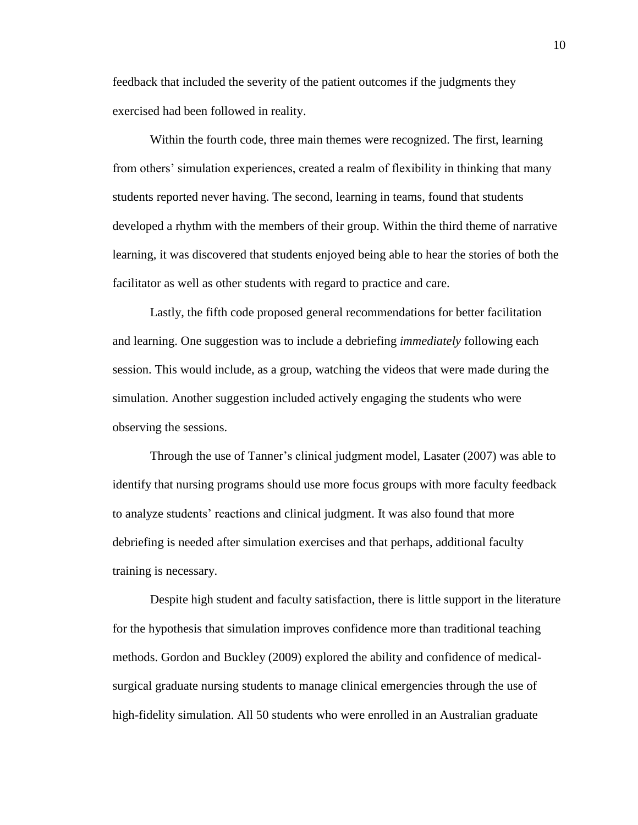feedback that included the severity of the patient outcomes if the judgments they exercised had been followed in reality.

Within the fourth code, three main themes were recognized. The first, learning from others' simulation experiences, created a realm of flexibility in thinking that many students reported never having. The second, learning in teams, found that students developed a rhythm with the members of their group. Within the third theme of narrative learning, it was discovered that students enjoyed being able to hear the stories of both the facilitator as well as other students with regard to practice and care.

Lastly, the fifth code proposed general recommendations for better facilitation and learning. One suggestion was to include a debriefing *immediately* following each session. This would include, as a group, watching the videos that were made during the simulation. Another suggestion included actively engaging the students who were observing the sessions.

Through the use of Tanner's clinical judgment model, Lasater (2007) was able to identify that nursing programs should use more focus groups with more faculty feedback to analyze students' reactions and clinical judgment. It was also found that more debriefing is needed after simulation exercises and that perhaps, additional faculty training is necessary.

Despite high student and faculty satisfaction, there is little support in the literature for the hypothesis that simulation improves confidence more than traditional teaching methods. Gordon and Buckley (2009) explored the ability and confidence of medicalsurgical graduate nursing students to manage clinical emergencies through the use of high-fidelity simulation. All 50 students who were enrolled in an Australian graduate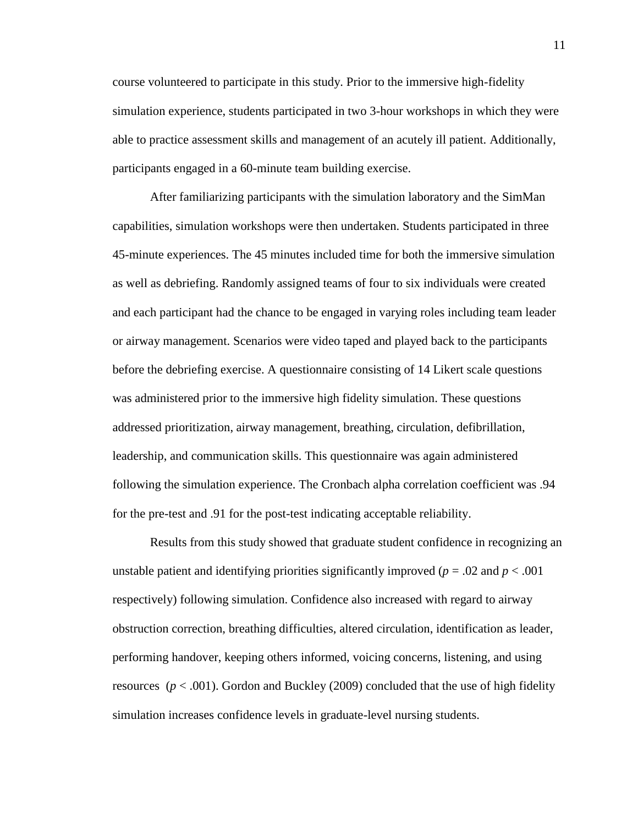course volunteered to participate in this study. Prior to the immersive high-fidelity simulation experience, students participated in two 3-hour workshops in which they were able to practice assessment skills and management of an acutely ill patient. Additionally, participants engaged in a 60-minute team building exercise.

After familiarizing participants with the simulation laboratory and the SimMan capabilities, simulation workshops were then undertaken. Students participated in three 45-minute experiences. The 45 minutes included time for both the immersive simulation as well as debriefing. Randomly assigned teams of four to six individuals were created and each participant had the chance to be engaged in varying roles including team leader or airway management. Scenarios were video taped and played back to the participants before the debriefing exercise. A questionnaire consisting of 14 Likert scale questions was administered prior to the immersive high fidelity simulation. These questions addressed prioritization, airway management, breathing, circulation, defibrillation, leadership, and communication skills. This questionnaire was again administered following the simulation experience. The Cronbach alpha correlation coefficient was .94 for the pre-test and .91 for the post-test indicating acceptable reliability.

Results from this study showed that graduate student confidence in recognizing an unstable patient and identifying priorities significantly improved ( $p = .02$  and  $p < .001$ ) respectively) following simulation. Confidence also increased with regard to airway obstruction correction, breathing difficulties, altered circulation, identification as leader, performing handover, keeping others informed, voicing concerns, listening, and using resources  $(p < .001)$ . Gordon and Buckley (2009) concluded that the use of high fidelity simulation increases confidence levels in graduate-level nursing students.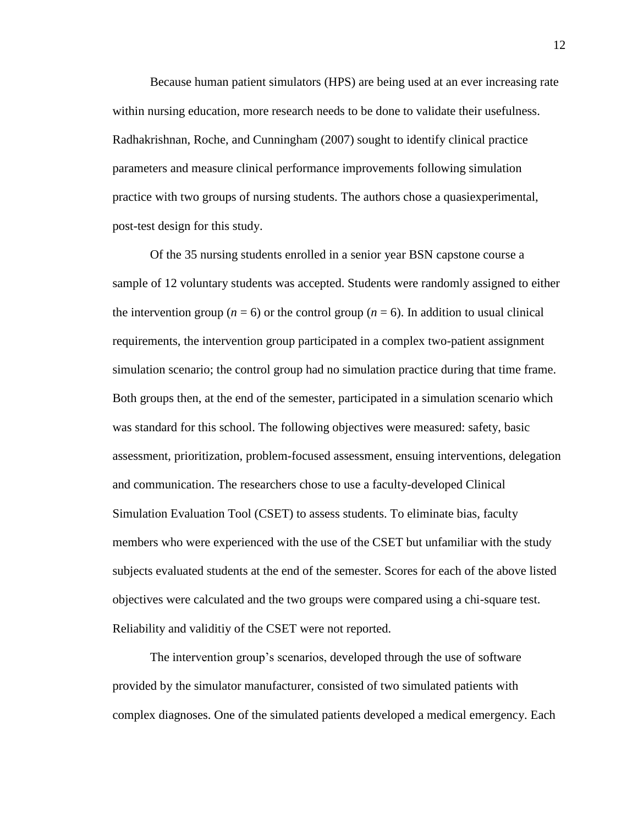Because human patient simulators (HPS) are being used at an ever increasing rate within nursing education, more research needs to be done to validate their usefulness. Radhakrishnan, Roche, and Cunningham (2007) sought to identify clinical practice parameters and measure clinical performance improvements following simulation practice with two groups of nursing students. The authors chose a quasiexperimental, post-test design for this study.

Of the 35 nursing students enrolled in a senior year BSN capstone course a sample of 12 voluntary students was accepted. Students were randomly assigned to either the intervention group ( $n = 6$ ) or the control group ( $n = 6$ ). In addition to usual clinical requirements, the intervention group participated in a complex two-patient assignment simulation scenario; the control group had no simulation practice during that time frame. Both groups then, at the end of the semester, participated in a simulation scenario which was standard for this school. The following objectives were measured: safety, basic assessment, prioritization, problem-focused assessment, ensuing interventions, delegation and communication. The researchers chose to use a faculty-developed Clinical Simulation Evaluation Tool (CSET) to assess students. To eliminate bias, faculty members who were experienced with the use of the CSET but unfamiliar with the study subjects evaluated students at the end of the semester. Scores for each of the above listed objectives were calculated and the two groups were compared using a chi-square test. Reliability and validitiy of the CSET were not reported.

The intervention group's scenarios, developed through the use of software provided by the simulator manufacturer, consisted of two simulated patients with complex diagnoses. One of the simulated patients developed a medical emergency. Each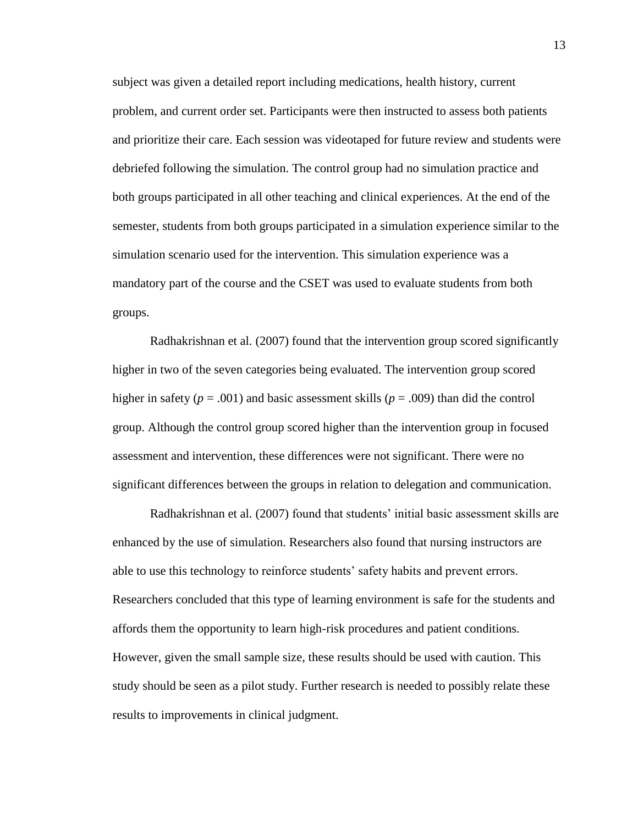subject was given a detailed report including medications, health history, current problem, and current order set. Participants were then instructed to assess both patients and prioritize their care. Each session was videotaped for future review and students were debriefed following the simulation. The control group had no simulation practice and both groups participated in all other teaching and clinical experiences. At the end of the semester, students from both groups participated in a simulation experience similar to the simulation scenario used for the intervention. This simulation experience was a mandatory part of the course and the CSET was used to evaluate students from both groups.

Radhakrishnan et al. (2007) found that the intervention group scored significantly higher in two of the seven categories being evaluated. The intervention group scored higher in safety ( $p = .001$ ) and basic assessment skills ( $p = .009$ ) than did the control group. Although the control group scored higher than the intervention group in focused assessment and intervention, these differences were not significant. There were no significant differences between the groups in relation to delegation and communication.

Radhakrishnan et al. (2007) found that students' initial basic assessment skills are enhanced by the use of simulation. Researchers also found that nursing instructors are able to use this technology to reinforce students' safety habits and prevent errors. Researchers concluded that this type of learning environment is safe for the students and affords them the opportunity to learn high-risk procedures and patient conditions. However, given the small sample size, these results should be used with caution. This study should be seen as a pilot study. Further research is needed to possibly relate these results to improvements in clinical judgment.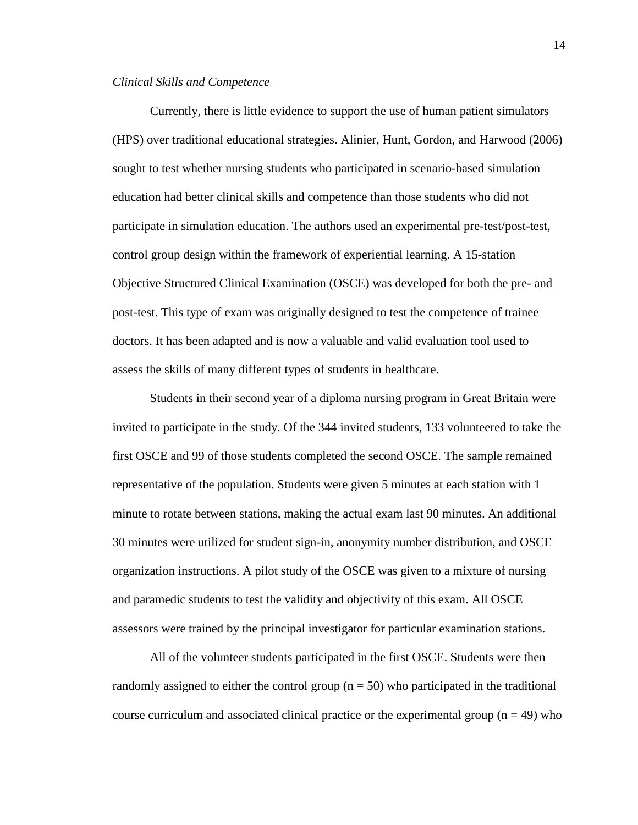#### *Clinical Skills and Competence*

Currently, there is little evidence to support the use of human patient simulators (HPS) over traditional educational strategies. Alinier, Hunt, Gordon, and Harwood (2006) sought to test whether nursing students who participated in scenario-based simulation education had better clinical skills and competence than those students who did not participate in simulation education. The authors used an experimental pre-test/post-test, control group design within the framework of experiential learning. A 15-station Objective Structured Clinical Examination (OSCE) was developed for both the pre- and post-test. This type of exam was originally designed to test the competence of trainee doctors. It has been adapted and is now a valuable and valid evaluation tool used to assess the skills of many different types of students in healthcare.

Students in their second year of a diploma nursing program in Great Britain were invited to participate in the study. Of the 344 invited students, 133 volunteered to take the first OSCE and 99 of those students completed the second OSCE. The sample remained representative of the population. Students were given 5 minutes at each station with 1 minute to rotate between stations, making the actual exam last 90 minutes. An additional 30 minutes were utilized for student sign-in, anonymity number distribution, and OSCE organization instructions. A pilot study of the OSCE was given to a mixture of nursing and paramedic students to test the validity and objectivity of this exam. All OSCE assessors were trained by the principal investigator for particular examination stations.

All of the volunteer students participated in the first OSCE. Students were then randomly assigned to either the control group  $(n = 50)$  who participated in the traditional course curriculum and associated clinical practice or the experimental group ( $n = 49$ ) who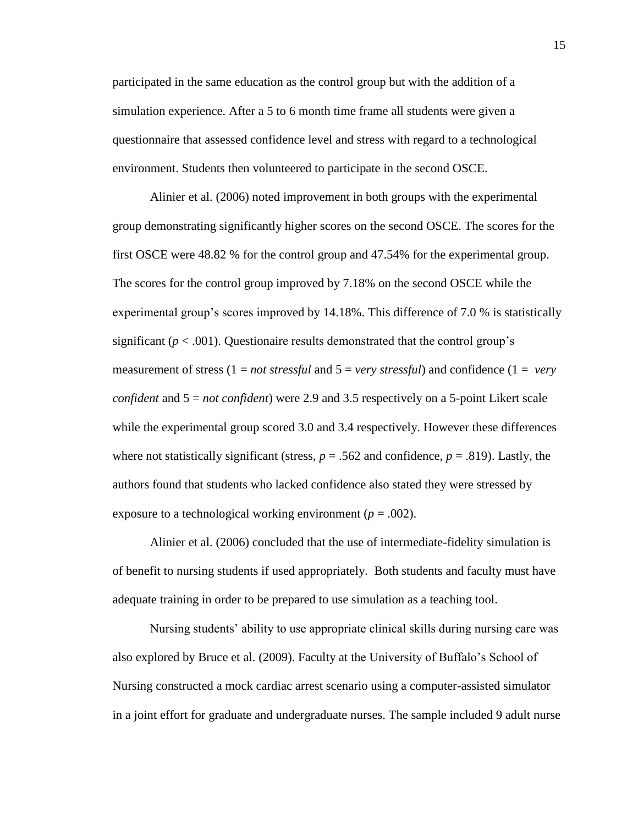participated in the same education as the control group but with the addition of a simulation experience. After a 5 to 6 month time frame all students were given a questionnaire that assessed confidence level and stress with regard to a technological environment. Students then volunteered to participate in the second OSCE.

Alinier et al. (2006) noted improvement in both groups with the experimental group demonstrating significantly higher scores on the second OSCE. The scores for the first OSCE were 48.82 % for the control group and 47.54% for the experimental group. The scores for the control group improved by 7.18% on the second OSCE while the experimental group's scores improved by 14.18%. This difference of 7.0 % is statistically significant  $(p < .001)$ . Questionaire results demonstrated that the control group's measurement of stress (1 = *not stressful* and 5 = *very stressful*) and confidence (1 = *very confident* and 5 = *not confident*) were 2.9 and 3.5 respectively on a 5-point Likert scale while the experimental group scored 3.0 and 3.4 respectively. However these differences where not statistically significant (stress,  $p = .562$  and confidence,  $p = .819$ ). Lastly, the authors found that students who lacked confidence also stated they were stressed by exposure to a technological working environment ( $p = .002$ ).

Alinier et al. (2006) concluded that the use of intermediate-fidelity simulation is of benefit to nursing students if used appropriately. Both students and faculty must have adequate training in order to be prepared to use simulation as a teaching tool.

Nursing students' ability to use appropriate clinical skills during nursing care was also explored by Bruce et al. (2009). Faculty at the University of Buffalo's School of Nursing constructed a mock cardiac arrest scenario using a computer-assisted simulator in a joint effort for graduate and undergraduate nurses. The sample included 9 adult nurse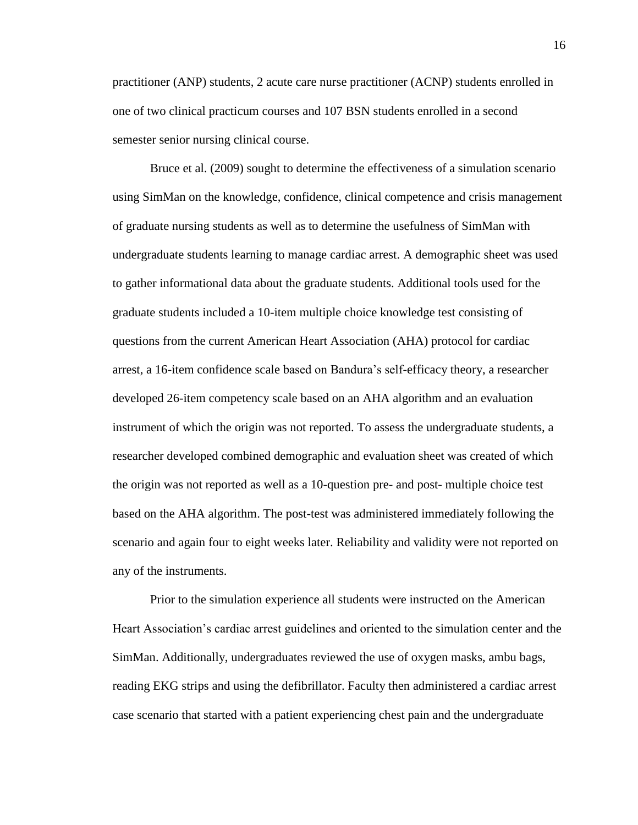practitioner (ANP) students, 2 acute care nurse practitioner (ACNP) students enrolled in one of two clinical practicum courses and 107 BSN students enrolled in a second semester senior nursing clinical course.

Bruce et al. (2009) sought to determine the effectiveness of a simulation scenario using SimMan on the knowledge, confidence, clinical competence and crisis management of graduate nursing students as well as to determine the usefulness of SimMan with undergraduate students learning to manage cardiac arrest. A demographic sheet was used to gather informational data about the graduate students. Additional tools used for the graduate students included a 10-item multiple choice knowledge test consisting of questions from the current American Heart Association (AHA) protocol for cardiac arrest, a 16-item confidence scale based on Bandura's self-efficacy theory, a researcher developed 26-item competency scale based on an AHA algorithm and an evaluation instrument of which the origin was not reported. To assess the undergraduate students, a researcher developed combined demographic and evaluation sheet was created of which the origin was not reported as well as a 10-question pre- and post- multiple choice test based on the AHA algorithm. The post-test was administered immediately following the scenario and again four to eight weeks later. Reliability and validity were not reported on any of the instruments.

Prior to the simulation experience all students were instructed on the American Heart Association's cardiac arrest guidelines and oriented to the simulation center and the SimMan. Additionally, undergraduates reviewed the use of oxygen masks, ambu bags, reading EKG strips and using the defibrillator. Faculty then administered a cardiac arrest case scenario that started with a patient experiencing chest pain and the undergraduate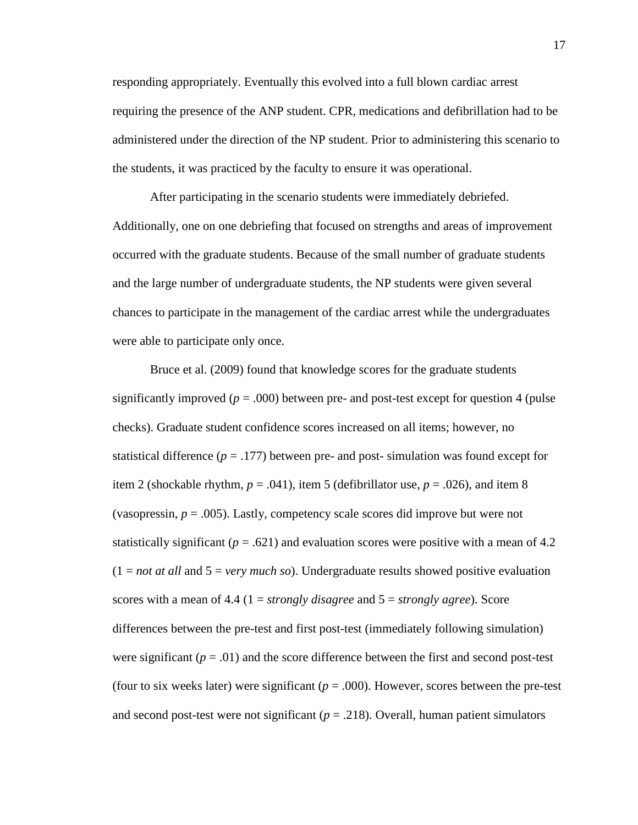responding appropriately. Eventually this evolved into a full blown cardiac arrest requiring the presence of the ANP student. CPR, medications and defibrillation had to be administered under the direction of the NP student. Prior to administering this scenario to the students, it was practiced by the faculty to ensure it was operational.

After participating in the scenario students were immediately debriefed. Additionally, one on one debriefing that focused on strengths and areas of improvement occurred with the graduate students. Because of the small number of graduate students and the large number of undergraduate students, the NP students were given several chances to participate in the management of the cardiac arrest while the undergraduates were able to participate only once.

Bruce et al. (2009) found that knowledge scores for the graduate students significantly improved  $(p = .000)$  between pre- and post-test except for question 4 (pulse checks). Graduate student confidence scores increased on all items; however, no statistical difference  $(p = .177)$  between pre- and post- simulation was found except for item 2 (shockable rhythm,  $p = .041$ ), item 5 (defibrillator use,  $p = .026$ ), and item 8 (vasopressin,  $p = .005$ ). Lastly, competency scale scores did improve but were not statistically significant ( $p = .621$ ) and evaluation scores were positive with a mean of 4.2 (1 = *not at all* and 5 = *very much so*). Undergraduate results showed positive evaluation scores with a mean of 4.4 (1 = *strongly disagree* and 5 = *strongly agree*). Score differences between the pre-test and first post-test (immediately following simulation) were significant  $(p = .01)$  and the score difference between the first and second post-test (four to six weeks later) were significant ( $p = .000$ ). However, scores between the pre-test and second post-test were not significant ( $p = .218$ ). Overall, human patient simulators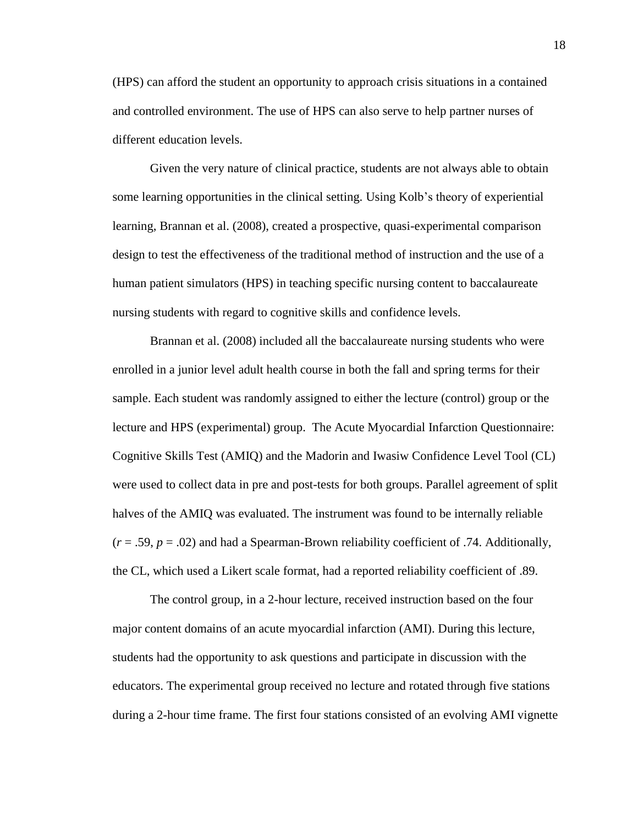(HPS) can afford the student an opportunity to approach crisis situations in a contained and controlled environment. The use of HPS can also serve to help partner nurses of different education levels.

Given the very nature of clinical practice, students are not always able to obtain some learning opportunities in the clinical setting. Using Kolb's theory of experiential learning, Brannan et al. (2008), created a prospective, quasi-experimental comparison design to test the effectiveness of the traditional method of instruction and the use of a human patient simulators (HPS) in teaching specific nursing content to baccalaureate nursing students with regard to cognitive skills and confidence levels.

Brannan et al. (2008) included all the baccalaureate nursing students who were enrolled in a junior level adult health course in both the fall and spring terms for their sample. Each student was randomly assigned to either the lecture (control) group or the lecture and HPS (experimental) group. The Acute Myocardial Infarction Questionnaire: Cognitive Skills Test (AMIQ) and the Madorin and Iwasiw Confidence Level Tool (CL) were used to collect data in pre and post-tests for both groups. Parallel agreement of split halves of the AMIQ was evaluated. The instrument was found to be internally reliable  $(r = .59, p = .02)$  and had a Spearman-Brown reliability coefficient of .74. Additionally, the CL, which used a Likert scale format, had a reported reliability coefficient of .89.

The control group, in a 2-hour lecture, received instruction based on the four major content domains of an acute myocardial infarction (AMI). During this lecture, students had the opportunity to ask questions and participate in discussion with the educators. The experimental group received no lecture and rotated through five stations during a 2-hour time frame. The first four stations consisted of an evolving AMI vignette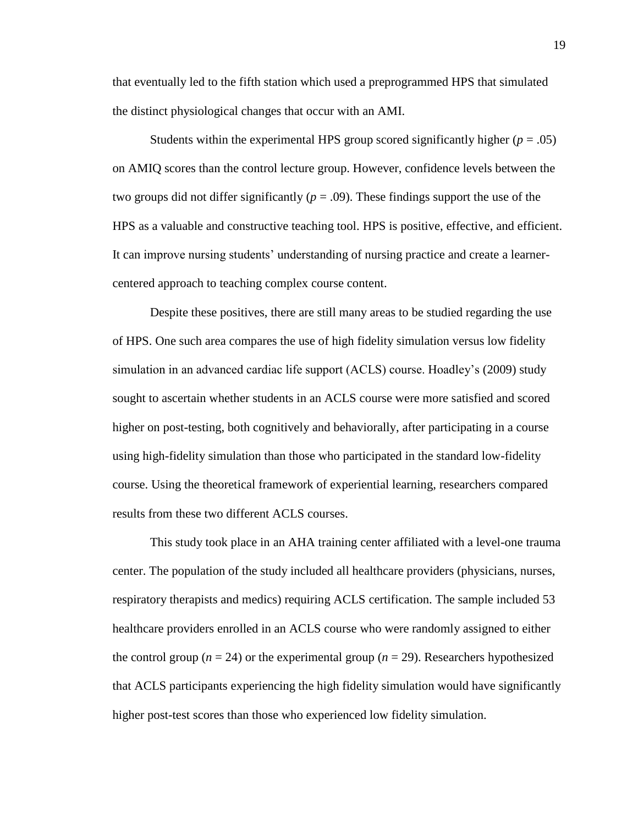that eventually led to the fifth station which used a preprogrammed HPS that simulated the distinct physiological changes that occur with an AMI.

Students within the experimental HPS group scored significantly higher  $(p = .05)$ on AMIQ scores than the control lecture group. However, confidence levels between the two groups did not differ significantly ( $p = .09$ ). These findings support the use of the HPS as a valuable and constructive teaching tool. HPS is positive, effective, and efficient. It can improve nursing students' understanding of nursing practice and create a learnercentered approach to teaching complex course content.

Despite these positives, there are still many areas to be studied regarding the use of HPS. One such area compares the use of high fidelity simulation versus low fidelity simulation in an advanced cardiac life support (ACLS) course. Hoadley's (2009) study sought to ascertain whether students in an ACLS course were more satisfied and scored higher on post-testing, both cognitively and behaviorally, after participating in a course using high-fidelity simulation than those who participated in the standard low-fidelity course. Using the theoretical framework of experiential learning, researchers compared results from these two different ACLS courses.

This study took place in an AHA training center affiliated with a level-one trauma center. The population of the study included all healthcare providers (physicians, nurses, respiratory therapists and medics) requiring ACLS certification. The sample included 53 healthcare providers enrolled in an ACLS course who were randomly assigned to either the control group ( $n = 24$ ) or the experimental group ( $n = 29$ ). Researchers hypothesized that ACLS participants experiencing the high fidelity simulation would have significantly higher post-test scores than those who experienced low fidelity simulation.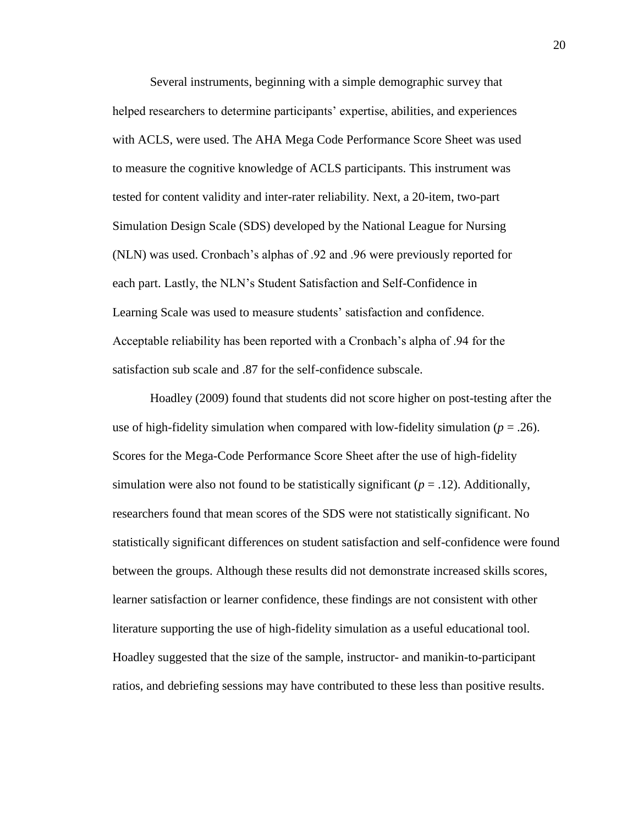Several instruments, beginning with a simple demographic survey that helped researchers to determine participants' expertise, abilities, and experiences with ACLS, were used. The AHA Mega Code Performance Score Sheet was used to measure the cognitive knowledge of ACLS participants. This instrument was tested for content validity and inter-rater reliability. Next, a 20-item, two-part Simulation Design Scale (SDS) developed by the National League for Nursing (NLN) was used. Cronbach's alphas of .92 and .96 were previously reported for each part. Lastly, the NLN's Student Satisfaction and Self-Confidence in Learning Scale was used to measure students' satisfaction and confidence. Acceptable reliability has been reported with a Cronbach's alpha of .94 for the satisfaction sub scale and .87 for the self-confidence subscale.

Hoadley (2009) found that students did not score higher on post-testing after the use of high-fidelity simulation when compared with low-fidelity simulation ( $p = .26$ ). Scores for the Mega-Code Performance Score Sheet after the use of high-fidelity simulation were also not found to be statistically significant  $(p = .12)$ . Additionally, researchers found that mean scores of the SDS were not statistically significant. No statistically significant differences on student satisfaction and self-confidence were found between the groups. Although these results did not demonstrate increased skills scores, learner satisfaction or learner confidence, these findings are not consistent with other literature supporting the use of high-fidelity simulation as a useful educational tool. Hoadley suggested that the size of the sample, instructor- and manikin-to-participant ratios, and debriefing sessions may have contributed to these less than positive results.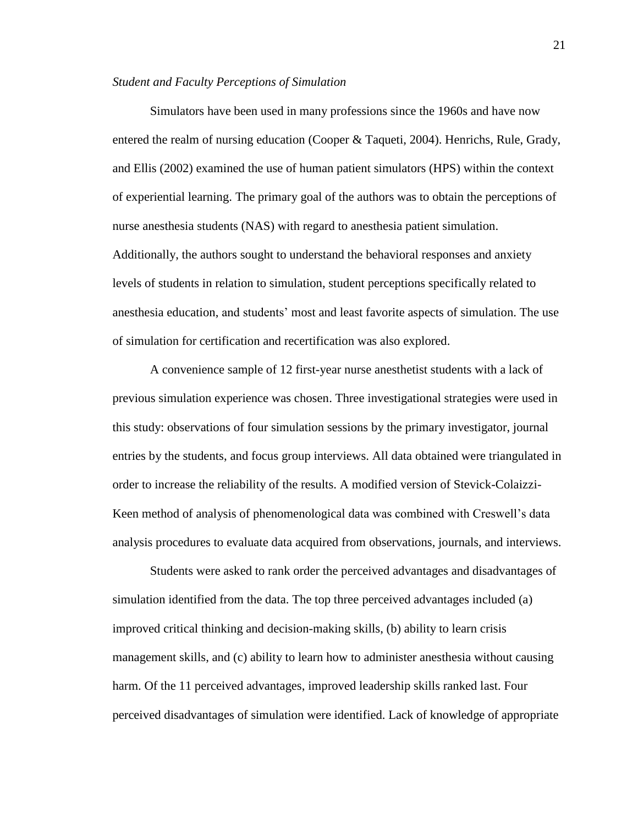#### *Student and Faculty Perceptions of Simulation*

Simulators have been used in many professions since the 1960s and have now entered the realm of nursing education (Cooper & Taqueti, 2004). Henrichs, Rule, Grady, and Ellis (2002) examined the use of human patient simulators (HPS) within the context of experiential learning. The primary goal of the authors was to obtain the perceptions of nurse anesthesia students (NAS) with regard to anesthesia patient simulation. Additionally, the authors sought to understand the behavioral responses and anxiety levels of students in relation to simulation, student perceptions specifically related to anesthesia education, and students' most and least favorite aspects of simulation. The use of simulation for certification and recertification was also explored.

A convenience sample of 12 first-year nurse anesthetist students with a lack of previous simulation experience was chosen. Three investigational strategies were used in this study: observations of four simulation sessions by the primary investigator, journal entries by the students, and focus group interviews. All data obtained were triangulated in order to increase the reliability of the results. A modified version of Stevick-Colaizzi-Keen method of analysis of phenomenological data was combined with Creswell's data analysis procedures to evaluate data acquired from observations, journals, and interviews.

Students were asked to rank order the perceived advantages and disadvantages of simulation identified from the data. The top three perceived advantages included (a) improved critical thinking and decision-making skills, (b) ability to learn crisis management skills, and (c) ability to learn how to administer anesthesia without causing harm. Of the 11 perceived advantages, improved leadership skills ranked last. Four perceived disadvantages of simulation were identified. Lack of knowledge of appropriate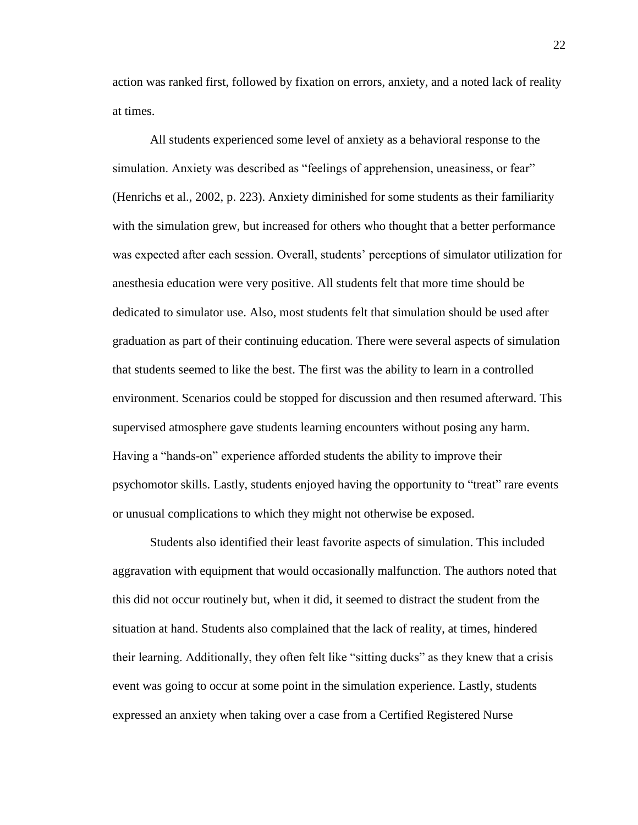action was ranked first, followed by fixation on errors, anxiety, and a noted lack of reality at times.

All students experienced some level of anxiety as a behavioral response to the simulation. Anxiety was described as "feelings of apprehension, uneasiness, or fear" (Henrichs et al., 2002, p. 223). Anxiety diminished for some students as their familiarity with the simulation grew, but increased for others who thought that a better performance was expected after each session. Overall, students' perceptions of simulator utilization for anesthesia education were very positive. All students felt that more time should be dedicated to simulator use. Also, most students felt that simulation should be used after graduation as part of their continuing education. There were several aspects of simulation that students seemed to like the best. The first was the ability to learn in a controlled environment. Scenarios could be stopped for discussion and then resumed afterward. This supervised atmosphere gave students learning encounters without posing any harm. Having a "hands-on" experience afforded students the ability to improve their psychomotor skills. Lastly, students enjoyed having the opportunity to "treat" rare events or unusual complications to which they might not otherwise be exposed.

Students also identified their least favorite aspects of simulation. This included aggravation with equipment that would occasionally malfunction. The authors noted that this did not occur routinely but, when it did, it seemed to distract the student from the situation at hand. Students also complained that the lack of reality, at times, hindered their learning. Additionally, they often felt like "sitting ducks" as they knew that a crisis event was going to occur at some point in the simulation experience. Lastly, students expressed an anxiety when taking over a case from a Certified Registered Nurse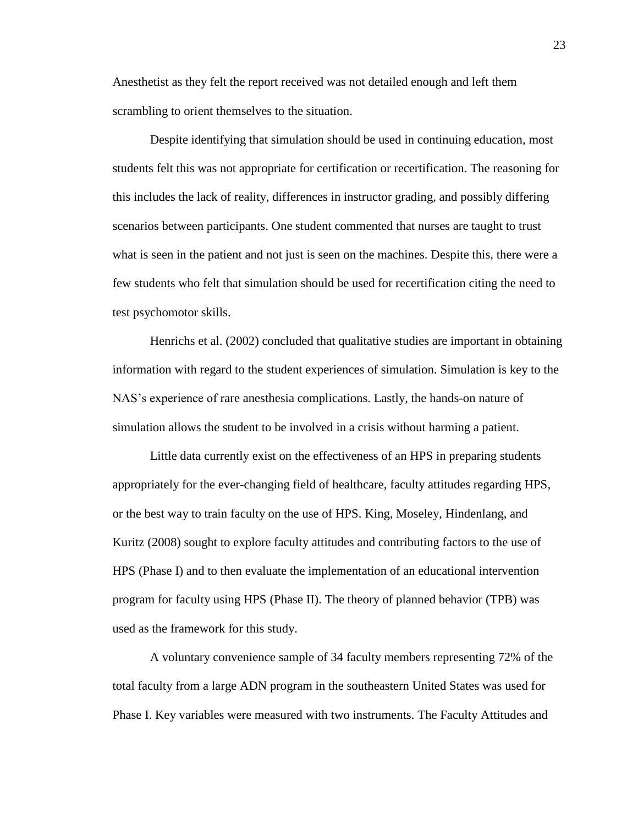Anesthetist as they felt the report received was not detailed enough and left them scrambling to orient themselves to the situation.

Despite identifying that simulation should be used in continuing education, most students felt this was not appropriate for certification or recertification. The reasoning for this includes the lack of reality, differences in instructor grading, and possibly differing scenarios between participants. One student commented that nurses are taught to trust what is seen in the patient and not just is seen on the machines. Despite this, there were a few students who felt that simulation should be used for recertification citing the need to test psychomotor skills.

Henrichs et al. (2002) concluded that qualitative studies are important in obtaining information with regard to the student experiences of simulation. Simulation is key to the NAS's experience of rare anesthesia complications. Lastly, the hands-on nature of simulation allows the student to be involved in a crisis without harming a patient.

Little data currently exist on the effectiveness of an HPS in preparing students appropriately for the ever-changing field of healthcare, faculty attitudes regarding HPS, or the best way to train faculty on the use of HPS. King, Moseley, Hindenlang, and Kuritz (2008) sought to explore faculty attitudes and contributing factors to the use of HPS (Phase I) and to then evaluate the implementation of an educational intervention program for faculty using HPS (Phase II). The theory of planned behavior (TPB) was used as the framework for this study.

A voluntary convenience sample of 34 faculty members representing 72% of the total faculty from a large ADN program in the southeastern United States was used for Phase I. Key variables were measured with two instruments. The Faculty Attitudes and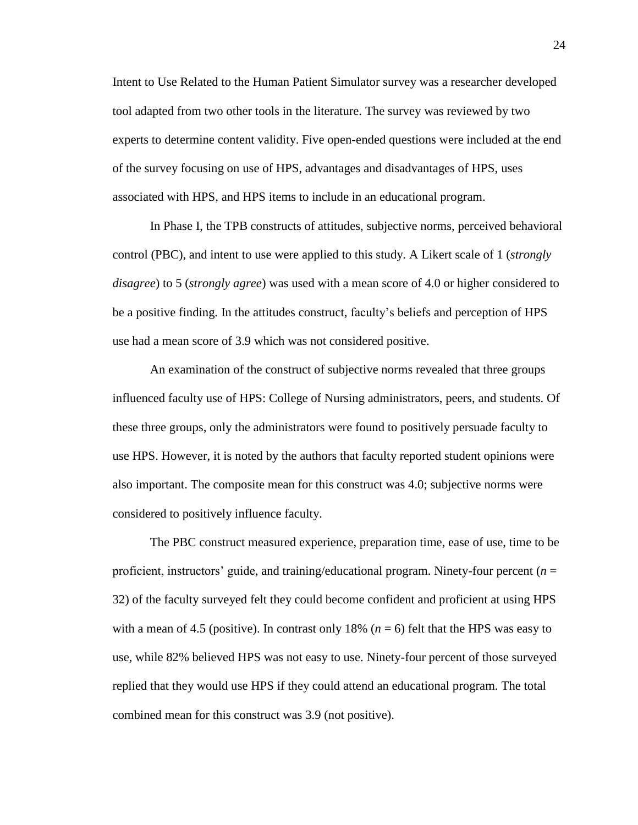Intent to Use Related to the Human Patient Simulator survey was a researcher developed tool adapted from two other tools in the literature. The survey was reviewed by two experts to determine content validity. Five open-ended questions were included at the end of the survey focusing on use of HPS, advantages and disadvantages of HPS, uses associated with HPS, and HPS items to include in an educational program.

In Phase I, the TPB constructs of attitudes, subjective norms, perceived behavioral control (PBC), and intent to use were applied to this study. A Likert scale of 1 (*strongly disagree*) to 5 (*strongly agree*) was used with a mean score of 4.0 or higher considered to be a positive finding. In the attitudes construct, faculty's beliefs and perception of HPS use had a mean score of 3.9 which was not considered positive.

An examination of the construct of subjective norms revealed that three groups influenced faculty use of HPS: College of Nursing administrators, peers, and students. Of these three groups, only the administrators were found to positively persuade faculty to use HPS. However, it is noted by the authors that faculty reported student opinions were also important. The composite mean for this construct was 4.0; subjective norms were considered to positively influence faculty.

The PBC construct measured experience, preparation time, ease of use, time to be proficient, instructors' guide, and training/educational program. Ninety-four percent (*n* = 32) of the faculty surveyed felt they could become confident and proficient at using HPS with a mean of 4.5 (positive). In contrast only  $18\%$  ( $n = 6$ ) felt that the HPS was easy to use, while 82% believed HPS was not easy to use. Ninety-four percent of those surveyed replied that they would use HPS if they could attend an educational program. The total combined mean for this construct was 3.9 (not positive).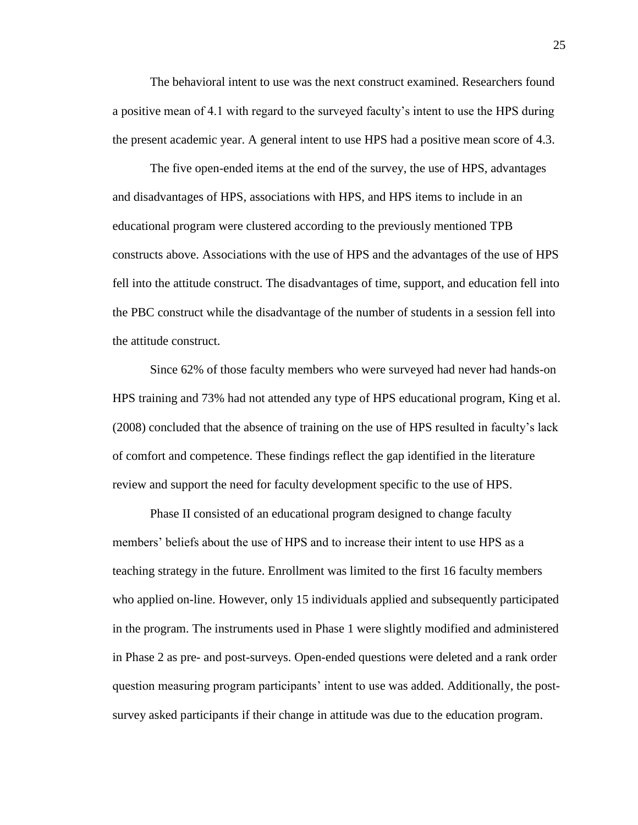The behavioral intent to use was the next construct examined. Researchers found a positive mean of 4.1 with regard to the surveyed faculty's intent to use the HPS during the present academic year. A general intent to use HPS had a positive mean score of 4.3.

The five open-ended items at the end of the survey, the use of HPS, advantages and disadvantages of HPS, associations with HPS, and HPS items to include in an educational program were clustered according to the previously mentioned TPB constructs above. Associations with the use of HPS and the advantages of the use of HPS fell into the attitude construct. The disadvantages of time, support, and education fell into the PBC construct while the disadvantage of the number of students in a session fell into the attitude construct.

Since 62% of those faculty members who were surveyed had never had hands-on HPS training and 73% had not attended any type of HPS educational program, King et al. (2008) concluded that the absence of training on the use of HPS resulted in faculty's lack of comfort and competence. These findings reflect the gap identified in the literature review and support the need for faculty development specific to the use of HPS.

Phase II consisted of an educational program designed to change faculty members' beliefs about the use of HPS and to increase their intent to use HPS as a teaching strategy in the future. Enrollment was limited to the first 16 faculty members who applied on-line. However, only 15 individuals applied and subsequently participated in the program. The instruments used in Phase 1 were slightly modified and administered in Phase 2 as pre- and post-surveys. Open-ended questions were deleted and a rank order question measuring program participants' intent to use was added. Additionally, the postsurvey asked participants if their change in attitude was due to the education program.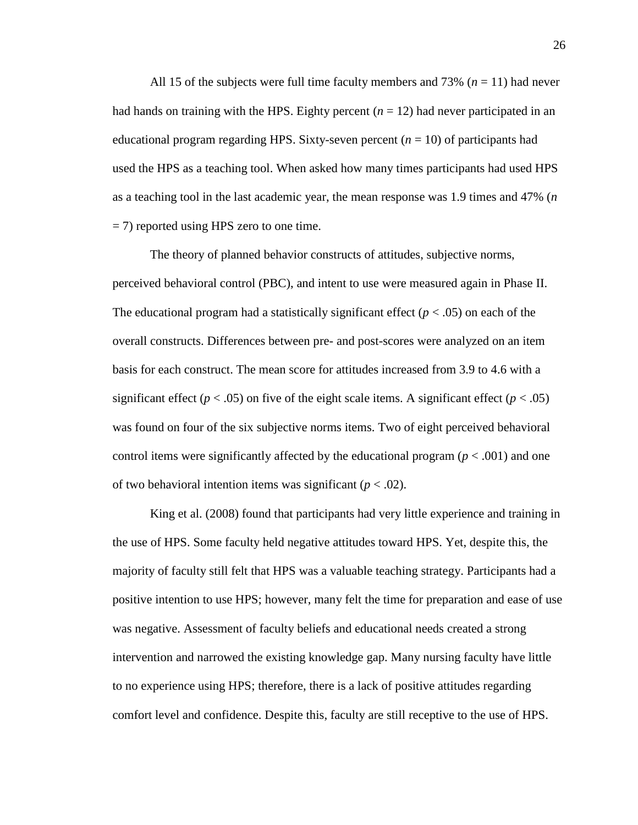All 15 of the subjects were full time faculty members and  $73\%$  ( $n = 11$ ) had never had hands on training with the HPS. Eighty percent  $(n = 12)$  had never participated in an educational program regarding HPS. Sixty-seven percent (*n* = 10) of participants had used the HPS as a teaching tool. When asked how many times participants had used HPS as a teaching tool in the last academic year, the mean response was 1.9 times and 47% (*n* = 7) reported using HPS zero to one time.

The theory of planned behavior constructs of attitudes, subjective norms, perceived behavioral control (PBC), and intent to use were measured again in Phase II. The educational program had a statistically significant effect  $(p < .05)$  on each of the overall constructs. Differences between pre- and post-scores were analyzed on an item basis for each construct. The mean score for attitudes increased from 3.9 to 4.6 with a significant effect ( $p < .05$ ) on five of the eight scale items. A significant effect ( $p < .05$ ) was found on four of the six subjective norms items. Two of eight perceived behavioral control items were significantly affected by the educational program  $(p < .001)$  and one of two behavioral intention items was significant  $(p < .02)$ .

King et al. (2008) found that participants had very little experience and training in the use of HPS. Some faculty held negative attitudes toward HPS. Yet, despite this, the majority of faculty still felt that HPS was a valuable teaching strategy. Participants had a positive intention to use HPS; however, many felt the time for preparation and ease of use was negative. Assessment of faculty beliefs and educational needs created a strong intervention and narrowed the existing knowledge gap. Many nursing faculty have little to no experience using HPS; therefore, there is a lack of positive attitudes regarding comfort level and confidence. Despite this, faculty are still receptive to the use of HPS.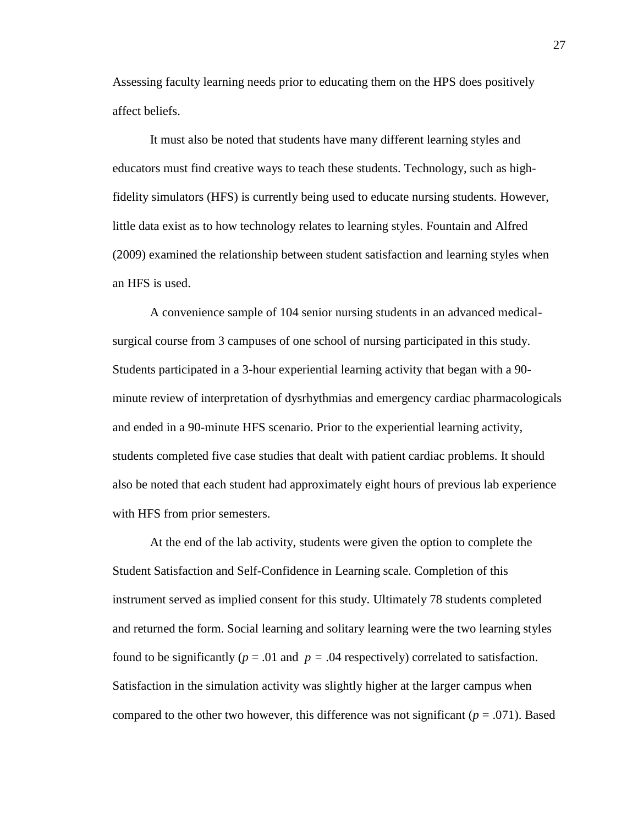Assessing faculty learning needs prior to educating them on the HPS does positively affect beliefs.

It must also be noted that students have many different learning styles and educators must find creative ways to teach these students. Technology, such as highfidelity simulators (HFS) is currently being used to educate nursing students. However, little data exist as to how technology relates to learning styles. Fountain and Alfred (2009) examined the relationship between student satisfaction and learning styles when an HFS is used.

A convenience sample of 104 senior nursing students in an advanced medicalsurgical course from 3 campuses of one school of nursing participated in this study. Students participated in a 3-hour experiential learning activity that began with a 90 minute review of interpretation of dysrhythmias and emergency cardiac pharmacologicals and ended in a 90-minute HFS scenario. Prior to the experiential learning activity, students completed five case studies that dealt with patient cardiac problems. It should also be noted that each student had approximately eight hours of previous lab experience with HFS from prior semesters.

At the end of the lab activity, students were given the option to complete the Student Satisfaction and Self-Confidence in Learning scale. Completion of this instrument served as implied consent for this study. Ultimately 78 students completed and returned the form. Social learning and solitary learning were the two learning styles found to be significantly ( $p = .01$  and  $p = .04$  respectively) correlated to satisfaction. Satisfaction in the simulation activity was slightly higher at the larger campus when compared to the other two however, this difference was not significant ( $p = .071$ ). Based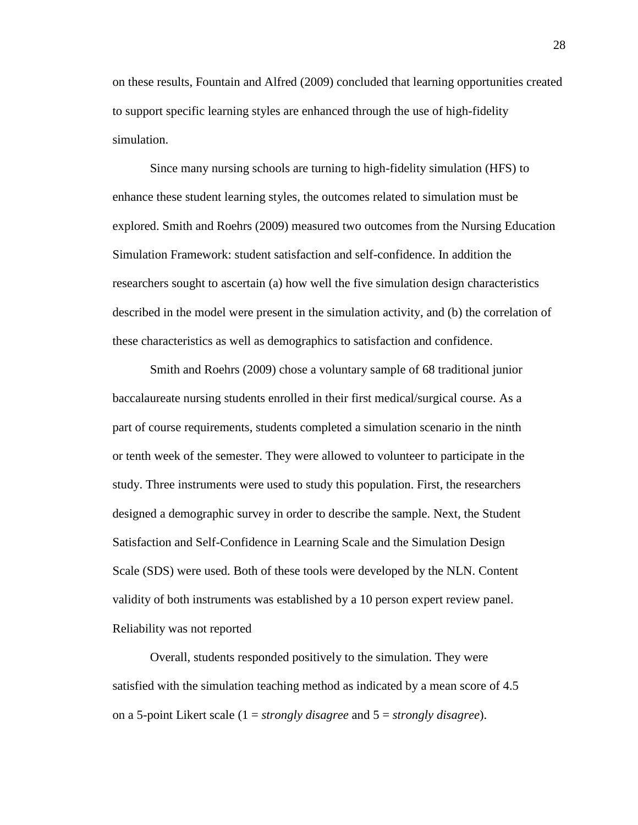on these results, Fountain and Alfred (2009) concluded that learning opportunities created to support specific learning styles are enhanced through the use of high-fidelity simulation.

Since many nursing schools are turning to high-fidelity simulation (HFS) to enhance these student learning styles, the outcomes related to simulation must be explored. Smith and Roehrs (2009) measured two outcomes from the Nursing Education Simulation Framework: student satisfaction and self-confidence. In addition the researchers sought to ascertain (a) how well the five simulation design characteristics described in the model were present in the simulation activity, and (b) the correlation of these characteristics as well as demographics to satisfaction and confidence.

Smith and Roehrs (2009) chose a voluntary sample of 68 traditional junior baccalaureate nursing students enrolled in their first medical/surgical course. As a part of course requirements, students completed a simulation scenario in the ninth or tenth week of the semester. They were allowed to volunteer to participate in the study. Three instruments were used to study this population. First, the researchers designed a demographic survey in order to describe the sample. Next, the Student Satisfaction and Self-Confidence in Learning Scale and the Simulation Design Scale (SDS) were used. Both of these tools were developed by the NLN. Content validity of both instruments was established by a 10 person expert review panel. Reliability was not reported

Overall, students responded positively to the simulation. They were satisfied with the simulation teaching method as indicated by a mean score of 4.5 on a 5-point Likert scale (1 = *strongly disagree* and 5 = *strongly disagree*).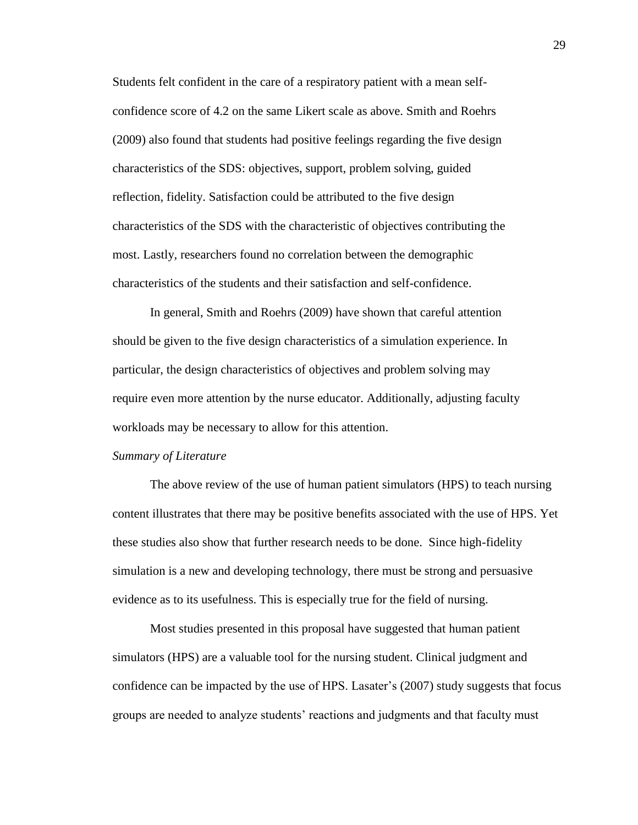Students felt confident in the care of a respiratory patient with a mean selfconfidence score of 4.2 on the same Likert scale as above. Smith and Roehrs (2009) also found that students had positive feelings regarding the five design characteristics of the SDS: objectives, support, problem solving, guided reflection, fidelity. Satisfaction could be attributed to the five design characteristics of the SDS with the characteristic of objectives contributing the most. Lastly, researchers found no correlation between the demographic characteristics of the students and their satisfaction and self-confidence.

In general, Smith and Roehrs (2009) have shown that careful attention should be given to the five design characteristics of a simulation experience. In particular, the design characteristics of objectives and problem solving may require even more attention by the nurse educator. Additionally, adjusting faculty workloads may be necessary to allow for this attention.

#### *Summary of Literature*

The above review of the use of human patient simulators (HPS) to teach nursing content illustrates that there may be positive benefits associated with the use of HPS. Yet these studies also show that further research needs to be done. Since high-fidelity simulation is a new and developing technology, there must be strong and persuasive evidence as to its usefulness. This is especially true for the field of nursing.

Most studies presented in this proposal have suggested that human patient simulators (HPS) are a valuable tool for the nursing student. Clinical judgment and confidence can be impacted by the use of HPS. Lasater's (2007) study suggests that focus groups are needed to analyze students' reactions and judgments and that faculty must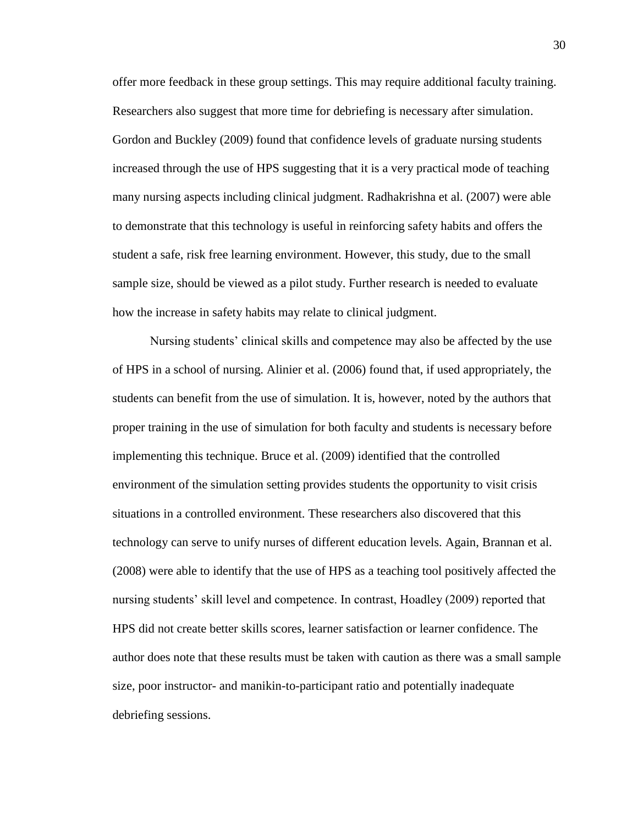offer more feedback in these group settings. This may require additional faculty training. Researchers also suggest that more time for debriefing is necessary after simulation. Gordon and Buckley (2009) found that confidence levels of graduate nursing students increased through the use of HPS suggesting that it is a very practical mode of teaching many nursing aspects including clinical judgment. Radhakrishna et al. (2007) were able to demonstrate that this technology is useful in reinforcing safety habits and offers the student a safe, risk free learning environment. However, this study, due to the small sample size, should be viewed as a pilot study. Further research is needed to evaluate how the increase in safety habits may relate to clinical judgment.

Nursing students' clinical skills and competence may also be affected by the use of HPS in a school of nursing. Alinier et al. (2006) found that, if used appropriately, the students can benefit from the use of simulation. It is, however, noted by the authors that proper training in the use of simulation for both faculty and students is necessary before implementing this technique. Bruce et al. (2009) identified that the controlled environment of the simulation setting provides students the opportunity to visit crisis situations in a controlled environment. These researchers also discovered that this technology can serve to unify nurses of different education levels. Again, Brannan et al. (2008) were able to identify that the use of HPS as a teaching tool positively affected the nursing students' skill level and competence. In contrast, Hoadley (2009) reported that HPS did not create better skills scores, learner satisfaction or learner confidence. The author does note that these results must be taken with caution as there was a small sample size, poor instructor- and manikin-to-participant ratio and potentially inadequate debriefing sessions.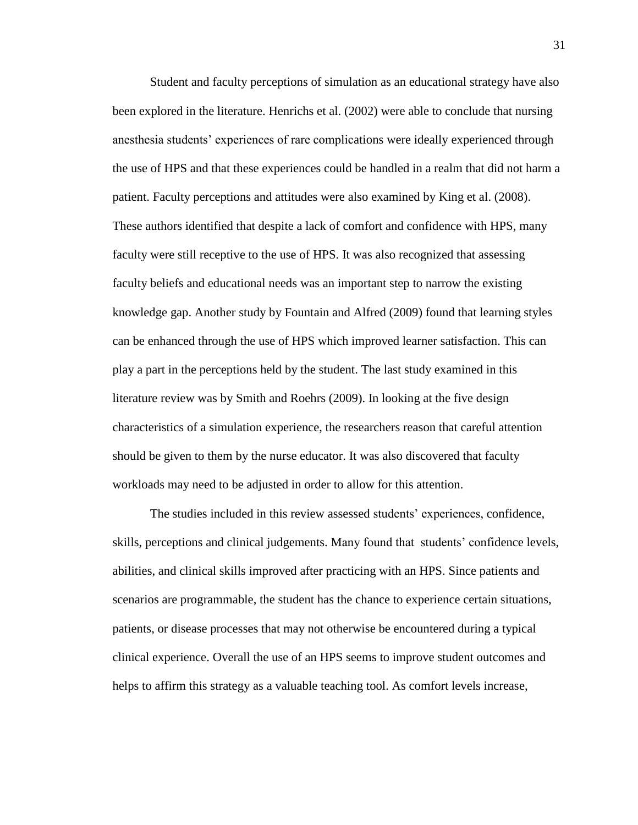Student and faculty perceptions of simulation as an educational strategy have also been explored in the literature. Henrichs et al. (2002) were able to conclude that nursing anesthesia students' experiences of rare complications were ideally experienced through the use of HPS and that these experiences could be handled in a realm that did not harm a patient. Faculty perceptions and attitudes were also examined by King et al. (2008). These authors identified that despite a lack of comfort and confidence with HPS, many faculty were still receptive to the use of HPS. It was also recognized that assessing faculty beliefs and educational needs was an important step to narrow the existing knowledge gap. Another study by Fountain and Alfred (2009) found that learning styles can be enhanced through the use of HPS which improved learner satisfaction. This can play a part in the perceptions held by the student. The last study examined in this literature review was by Smith and Roehrs (2009). In looking at the five design characteristics of a simulation experience, the researchers reason that careful attention should be given to them by the nurse educator. It was also discovered that faculty workloads may need to be adjusted in order to allow for this attention.

The studies included in this review assessed students' experiences, confidence, skills, perceptions and clinical judgements. Many found that students' confidence levels, abilities, and clinical skills improved after practicing with an HPS. Since patients and scenarios are programmable, the student has the chance to experience certain situations, patients, or disease processes that may not otherwise be encountered during a typical clinical experience. Overall the use of an HPS seems to improve student outcomes and helps to affirm this strategy as a valuable teaching tool. As comfort levels increase,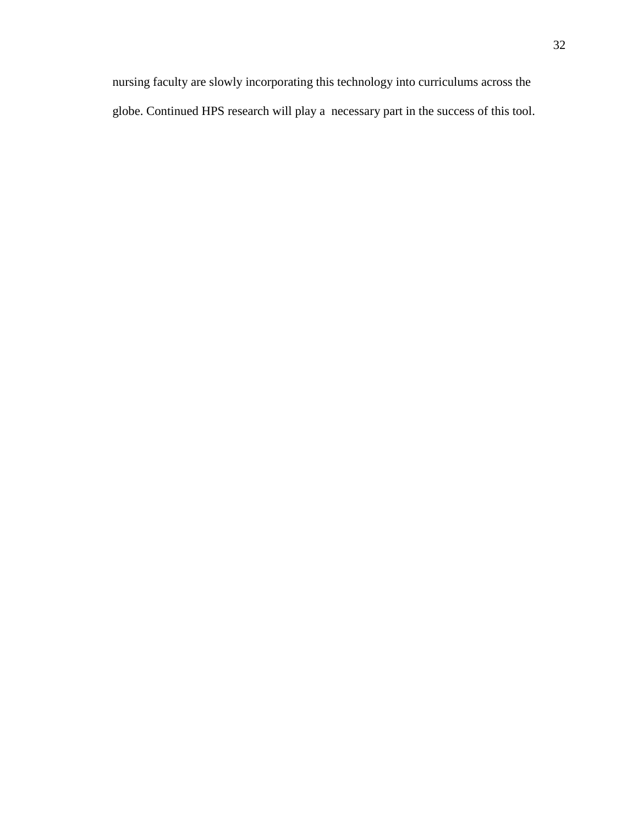nursing faculty are slowly incorporating this technology into curriculums across the globe. Continued HPS research will play a necessary part in the success of this tool.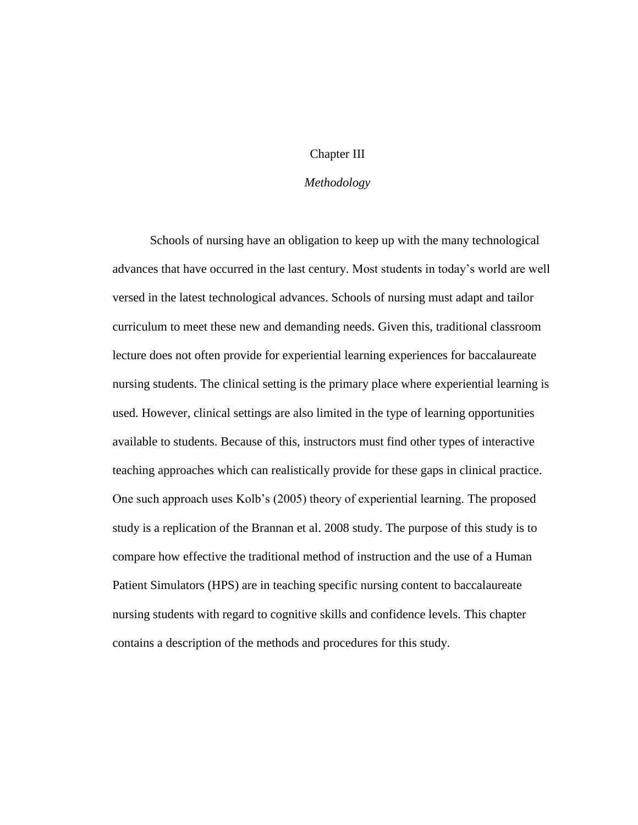## Chapter III

## *Methodology*

Schools of nursing have an obligation to keep up with the many technological advances that have occurred in the last century. Most students in today's world are well versed in the latest technological advances. Schools of nursing must adapt and tailor curriculum to meet these new and demanding needs. Given this, traditional classroom lecture does not often provide for experiential learning experiences for baccalaureate nursing students. The clinical setting is the primary place where experiential learning is used. However, clinical settings are also limited in the type of learning opportunities available to students. Because of this, instructors must find other types of interactive teaching approaches which can realistically provide for these gaps in clinical practice. One such approach uses Kolb's (2005) theory of experiential learning. The proposed study is a replication of the Brannan et al. 2008 study. The purpose of this study is to compare how effective the traditional method of instruction and the use of a Human Patient Simulators (HPS) are in teaching specific nursing content to baccalaureate nursing students with regard to cognitive skills and confidence levels. This chapter contains a description of the methods and procedures for this study.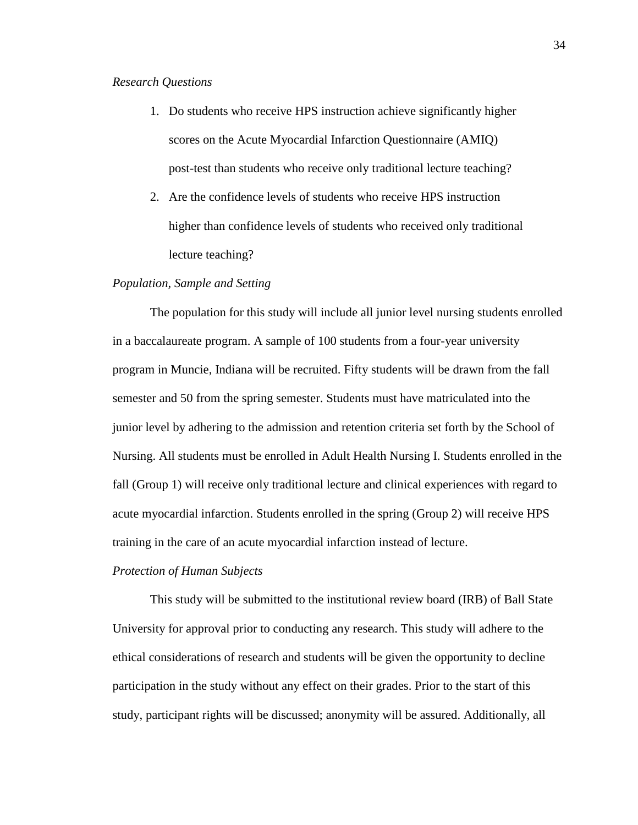#### *Research Questions*

- 1. Do students who receive HPS instruction achieve significantly higher scores on the Acute Myocardial Infarction Questionnaire (AMIQ) post-test than students who receive only traditional lecture teaching?
- 2. Are the confidence levels of students who receive HPS instruction higher than confidence levels of students who received only traditional lecture teaching?

#### *Population, Sample and Setting*

The population for this study will include all junior level nursing students enrolled in a baccalaureate program. A sample of 100 students from a four-year university program in Muncie, Indiana will be recruited. Fifty students will be drawn from the fall semester and 50 from the spring semester. Students must have matriculated into the junior level by adhering to the admission and retention criteria set forth by the School of Nursing. All students must be enrolled in Adult Health Nursing I. Students enrolled in the fall (Group 1) will receive only traditional lecture and clinical experiences with regard to acute myocardial infarction. Students enrolled in the spring (Group 2) will receive HPS training in the care of an acute myocardial infarction instead of lecture.

#### *Protection of Human Subjects*

This study will be submitted to the institutional review board (IRB) of Ball State University for approval prior to conducting any research. This study will adhere to the ethical considerations of research and students will be given the opportunity to decline participation in the study without any effect on their grades. Prior to the start of this study, participant rights will be discussed; anonymity will be assured. Additionally, all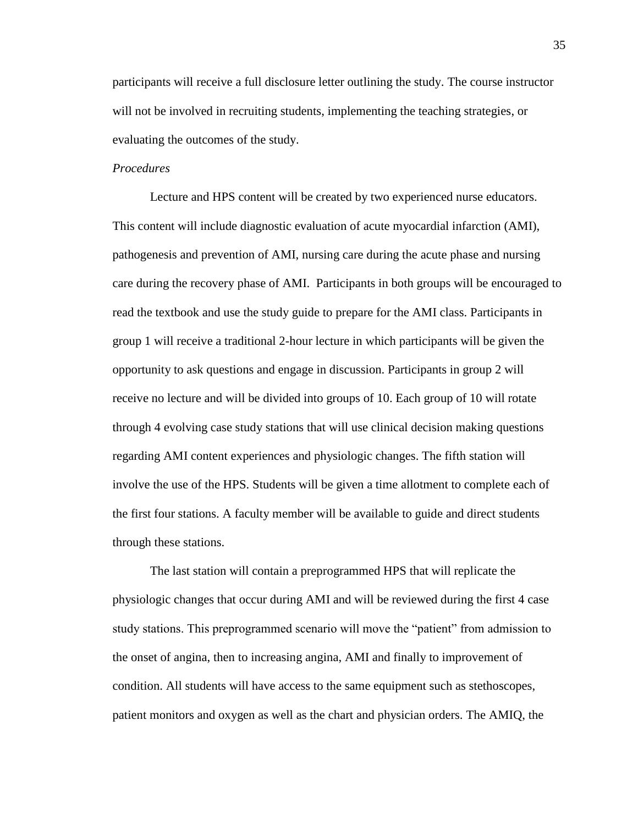participants will receive a full disclosure letter outlining the study. The course instructor will not be involved in recruiting students, implementing the teaching strategies, or evaluating the outcomes of the study.

#### *Procedures*

Lecture and HPS content will be created by two experienced nurse educators. This content will include diagnostic evaluation of acute myocardial infarction (AMI), pathogenesis and prevention of AMI, nursing care during the acute phase and nursing care during the recovery phase of AMI. Participants in both groups will be encouraged to read the textbook and use the study guide to prepare for the AMI class. Participants in group 1 will receive a traditional 2-hour lecture in which participants will be given the opportunity to ask questions and engage in discussion. Participants in group 2 will receive no lecture and will be divided into groups of 10. Each group of 10 will rotate through 4 evolving case study stations that will use clinical decision making questions regarding AMI content experiences and physiologic changes. The fifth station will involve the use of the HPS. Students will be given a time allotment to complete each of the first four stations. A faculty member will be available to guide and direct students through these stations.

The last station will contain a preprogrammed HPS that will replicate the physiologic changes that occur during AMI and will be reviewed during the first 4 case study stations. This preprogrammed scenario will move the "patient" from admission to the onset of angina, then to increasing angina, AMI and finally to improvement of condition. All students will have access to the same equipment such as stethoscopes, patient monitors and oxygen as well as the chart and physician orders. The AMIQ, the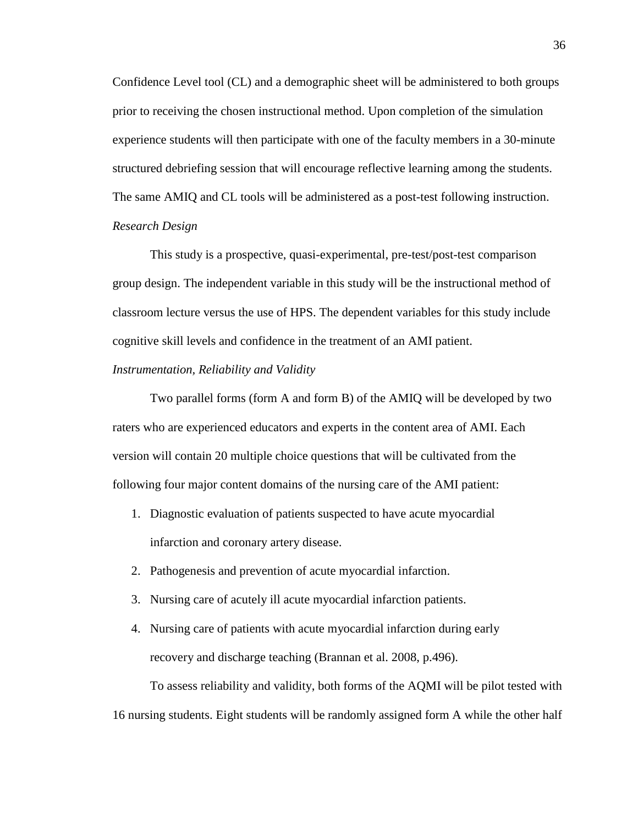Confidence Level tool (CL) and a demographic sheet will be administered to both groups prior to receiving the chosen instructional method. Upon completion of the simulation experience students will then participate with one of the faculty members in a 30-minute structured debriefing session that will encourage reflective learning among the students. The same AMIQ and CL tools will be administered as a post-test following instruction. *Research Design*

This study is a prospective, quasi-experimental, pre-test/post-test comparison group design. The independent variable in this study will be the instructional method of classroom lecture versus the use of HPS. The dependent variables for this study include cognitive skill levels and confidence in the treatment of an AMI patient.

#### *Instrumentation, Reliability and Validity*

Two parallel forms (form A and form B) of the AMIQ will be developed by two raters who are experienced educators and experts in the content area of AMI. Each version will contain 20 multiple choice questions that will be cultivated from the following four major content domains of the nursing care of the AMI patient:

- 1. Diagnostic evaluation of patients suspected to have acute myocardial infarction and coronary artery disease.
- 2. Pathogenesis and prevention of acute myocardial infarction.
- 3. Nursing care of acutely ill acute myocardial infarction patients.
- 4. Nursing care of patients with acute myocardial infarction during early recovery and discharge teaching (Brannan et al. 2008, p.496).

To assess reliability and validity, both forms of the AQMI will be pilot tested with 16 nursing students. Eight students will be randomly assigned form A while the other half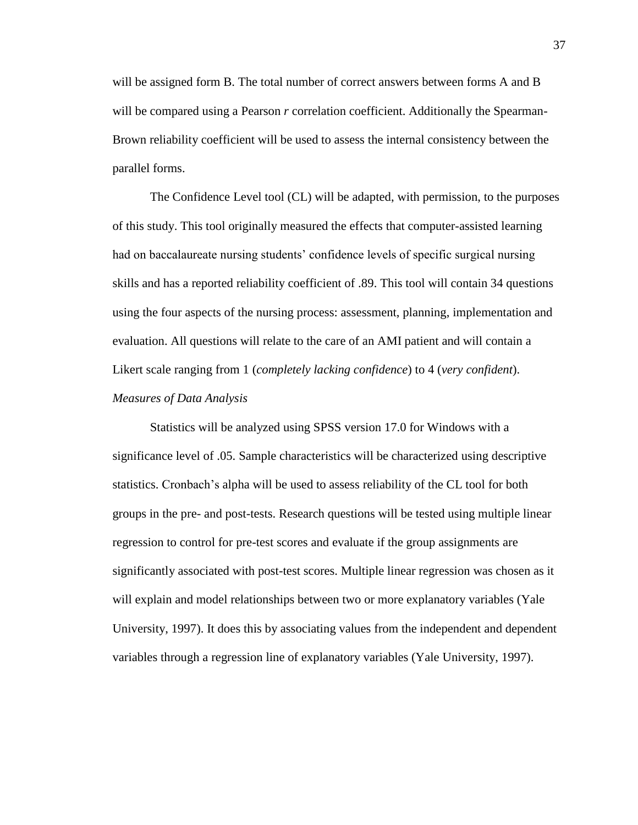will be assigned form B. The total number of correct answers between forms A and B will be compared using a Pearson *r* correlation coefficient. Additionally the Spearman-Brown reliability coefficient will be used to assess the internal consistency between the parallel forms.

The Confidence Level tool (CL) will be adapted, with permission, to the purposes of this study. This tool originally measured the effects that computer-assisted learning had on baccalaureate nursing students' confidence levels of specific surgical nursing skills and has a reported reliability coefficient of .89. This tool will contain 34 questions using the four aspects of the nursing process: assessment, planning, implementation and evaluation. All questions will relate to the care of an AMI patient and will contain a Likert scale ranging from 1 (*completely lacking confidence*) to 4 (*very confident*). *Measures of Data Analysis*

Statistics will be analyzed using SPSS version 17.0 for Windows with a significance level of .05. Sample characteristics will be characterized using descriptive statistics. Cronbach's alpha will be used to assess reliability of the CL tool for both groups in the pre- and post-tests. Research questions will be tested using multiple linear regression to control for pre-test scores and evaluate if the group assignments are significantly associated with post-test scores. Multiple linear regression was chosen as it will explain and model relationships between two or more explanatory variables (Yale University, 1997). It does this by associating values from the independent and dependent variables through a regression line of explanatory variables (Yale University, 1997).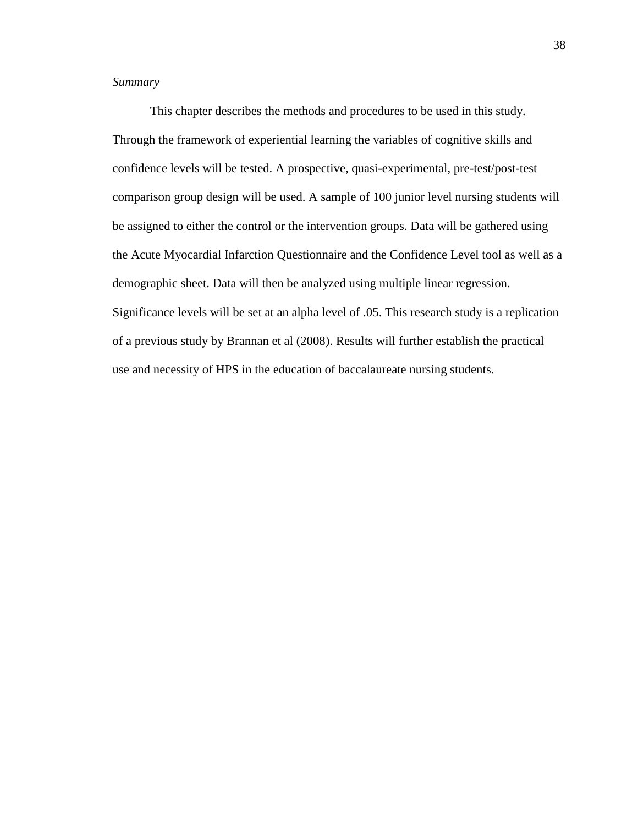## *Summary*

This chapter describes the methods and procedures to be used in this study. Through the framework of experiential learning the variables of cognitive skills and confidence levels will be tested. A prospective, quasi-experimental, pre-test/post-test comparison group design will be used. A sample of 100 junior level nursing students will be assigned to either the control or the intervention groups. Data will be gathered using the Acute Myocardial Infarction Questionnaire and the Confidence Level tool as well as a demographic sheet. Data will then be analyzed using multiple linear regression. Significance levels will be set at an alpha level of .05. This research study is a replication of a previous study by Brannan et al (2008). Results will further establish the practical use and necessity of HPS in the education of baccalaureate nursing students.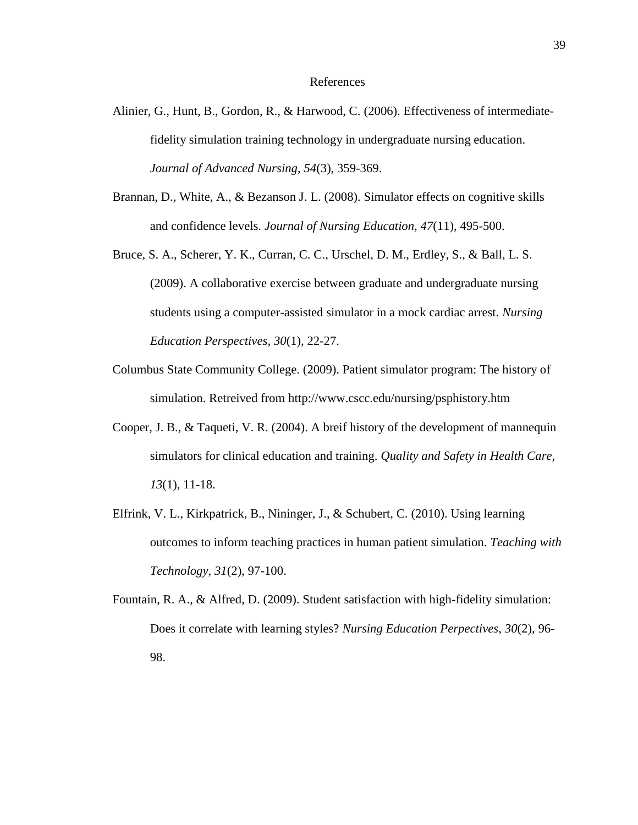#### References

- Alinier, G., Hunt, B., Gordon, R., & Harwood, C. (2006). Effectiveness of intermediatefidelity simulation training technology in undergraduate nursing education. *Journal of Advanced Nursing, 54*(3), 359-369.
- Brannan, D., White, A., & Bezanson J. L. (2008). Simulator effects on cognitive skills and confidence levels. *Journal of Nursing Education, 47*(11), 495-500.
- Bruce, S. A., Scherer, Y. K., Curran, C. C., Urschel, D. M., Erdley, S., & Ball, L. S. (2009). A collaborative exercise between graduate and undergraduate nursing students using a computer-assisted simulator in a mock cardiac arrest. *Nursing Education Perspectives, 30*(1), 22-27.
- Columbus State Community College. (2009). Patient simulator program: The history of simulation. Retreived from http://www.cscc.edu/nursing/psphistory.htm
- Cooper, J. B., & Taqueti, V. R. (2004). A breif history of the development of mannequin simulators for clinical education and training. *Quality and Safety in Health Care, 13*(1), 11-18.
- Elfrink, V. L., Kirkpatrick, B., Nininger, J., & Schubert, C. (2010). Using learning outcomes to inform teaching practices in human patient simulation. *Teaching with Technology, 31*(2), 97-100.
- Fountain, R. A., & Alfred, D. (2009). Student satisfaction with high-fidelity simulation: Does it correlate with learning styles? *Nursing Education Perpectives, 30*(2), 96- 98.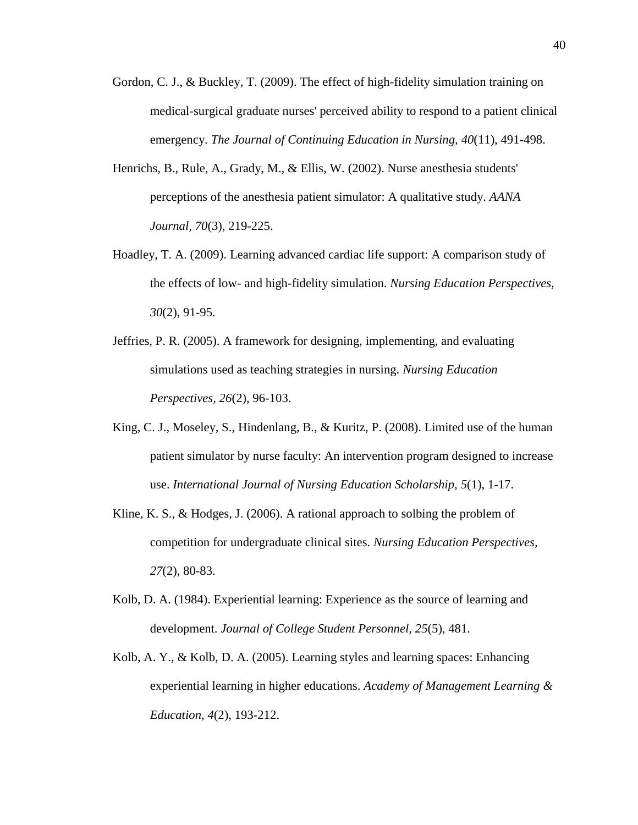- Gordon, C. J., & Buckley, T. (2009). The effect of high-fidelity simulation training on medical-surgical graduate nurses' perceived ability to respond to a patient clinical emergency. *The Journal of Continuing Education in Nursing, 40*(11), 491-498.
- Henrichs, B., Rule, A., Grady, M., & Ellis, W. (2002). Nurse anesthesia students' perceptions of the anesthesia patient simulator: A qualitative study. *AANA Journal, 70*(3), 219-225.
- Hoadley, T. A. (2009). Learning advanced cardiac life support: A comparison study of the effects of low- and high-fidelity simulation. *Nursing Education Perspectives, 30*(2), 91-95.
- Jeffries, P. R. (2005). A framework for designing, implementing, and evaluating simulations used as teaching strategies in nursing. *Nursing Education Perspectives, 26*(2), 96-103.
- King, C. J., Moseley, S., Hindenlang, B., & Kuritz, P. (2008). Limited use of the human patient simulator by nurse faculty: An intervention program designed to increase use. *International Journal of Nursing Education Scholarship, 5*(1), 1-17.
- Kline, K. S., & Hodges, J. (2006). A rational approach to solbing the problem of competition for undergraduate clinical sites. *Nursing Education Perspectives, 27*(2), 80-83.
- Kolb, D. A. (1984). Experiential learning: Experience as the source of learning and development. *Journal of College Student Personnel, 25*(5), 481.
- Kolb, A. Y., & Kolb, D. A. (2005). Learning styles and learning spaces: Enhancing experiential learning in higher educations. *Academy of Management Learning & Education, 4*(2), 193-212.